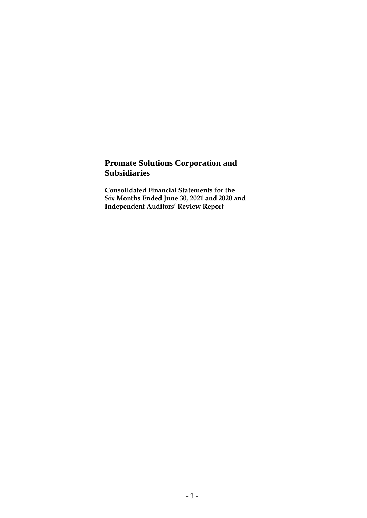# **Promate Solutions Corporation and Subsidiaries**

**Consolidated Financial Statements for the Six Months Ended June 30, 2021 and 2020 and Independent Auditors' Review Report**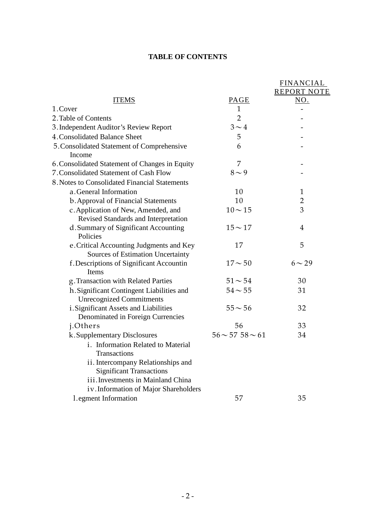# **TABLE OF CONTENTS**

|                                                                              |                           | <b>FINANCIAL</b>   |
|------------------------------------------------------------------------------|---------------------------|--------------------|
|                                                                              |                           | <b>REPORT NOTE</b> |
| <b>ITEMS</b>                                                                 | PAGE                      | NO.                |
| 1.Cover                                                                      | $\mathbf{1}$              |                    |
| 2. Table of Contents                                                         | $\overline{2}$            |                    |
| 3. Independent Auditor's Review Report                                       | $3 \sim 4$                |                    |
| 4. Consolidated Balance Sheet                                                | 5                         |                    |
| 5. Consolidated Statement of Comprehensive<br>Income                         | 6                         |                    |
| 6. Consolidated Statement of Changes in Equity                               | 7                         |                    |
| 7. Consolidated Statement of Cash Flow                                       | $8\sim9$                  |                    |
| 8. Notes to Consolidated Financial Statements                                |                           |                    |
| a.General Information                                                        | 10                        | $\mathbf{1}$       |
| b. Approval of Financial Statements                                          | 10                        | $\overline{2}$     |
| c. Application of New, Amended, and                                          | $10 - 15$                 | 3                  |
| Revised Standards and Interpretation                                         |                           |                    |
| d. Summary of Significant Accounting<br>Policies                             | $15 - 17$                 | $\overline{4}$     |
| e. Critical Accounting Judgments and Key                                     | 17                        | 5                  |
| Sources of Estimation Uncertainty                                            |                           |                    |
| f. Descriptions of Significant Accountin<br>Items                            | $17 - 50$                 | $6 \sim 29$        |
| g. Transaction with Related Parties                                          | $51 - 54$                 | 30                 |
| h. Significant Contingent Liabilities and<br><b>Unrecognized Commitments</b> | $54 - 55$                 | 31                 |
| i. Significant Assets and Liabilities<br>Denominated in Foreign Currencies   | $55 - 56$                 | 32                 |
| j.Others                                                                     | 56                        | 33                 |
| k. Supplementary Disclosures                                                 | $56 \sim 57$ 58 $\sim 61$ | 34                 |
| i. Information Related to Material<br>Transactions                           |                           |                    |
| ii. Intercompany Relationships and                                           |                           |                    |
| <b>Significant Transactions</b>                                              |                           |                    |
| iii. Investments in Mainland China                                           |                           |                    |
| iv. Information of Major Shareholders                                        |                           |                    |
| 1.egment Information                                                         | 57                        | 35                 |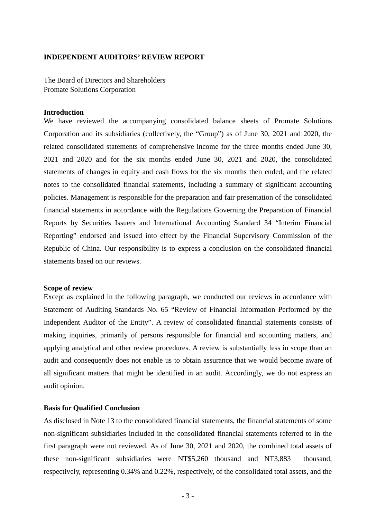#### **INDEPENDENT AUDITORS' REVIEW REPORT**

The Board of Directors and Shareholders Promate Solutions Corporation

#### **Introduction**

We have reviewed the accompanying consolidated balance sheets of Promate Solutions Corporation and its subsidiaries (collectively, the "Group") as of June 30, 2021 and 2020, the related consolidated statements of comprehensive income for the three months ended June 30, 2021 and 2020 and for the six months ended June 30, 2021 and 2020, the consolidated statements of changes in equity and cash flows for the six months then ended, and the related notes to the consolidated financial statements, including a summary of significant accounting policies. Management is responsible for the preparation and fair presentation of the consolidated financial statements in accordance with the Regulations Governing the Preparation of Financial Reports by Securities Issuers and International Accounting Standard 34 "Interim Financial Reporting" endorsed and issued into effect by the Financial Supervisory Commission of the Republic of China. Our responsibility is to express a conclusion on the consolidated financial statements based on our reviews.

#### **Scope of review**

Except as explained in the following paragraph, we conducted our reviews in accordance with Statement of Auditing Standards No. 65 "Review of Financial Information Performed by the Independent Auditor of the Entity". A review of consolidated financial statements consists of making inquiries, primarily of persons responsible for financial and accounting matters, and applying analytical and other review procedures. A review is substantially less in scope than an audit and consequently does not enable us to obtain assurance that we would become aware of all significant matters that might be identified in an audit. Accordingly, we do not express an audit opinion.

#### **Basis for Qualified Conclusion**

As disclosed in Note 13 to the consolidated financial statements, the financial statements of some non-significant subsidiaries included in the consolidated financial statements referred to in the first paragraph were not reviewed. As of June 30, 2021 and 2020, the combined total assets of these non-significant subsidiaries were NT\$5,260 thousand and NT3,883 thousand, respectively, representing 0.34% and 0.22%, respectively, of the consolidated total assets, and the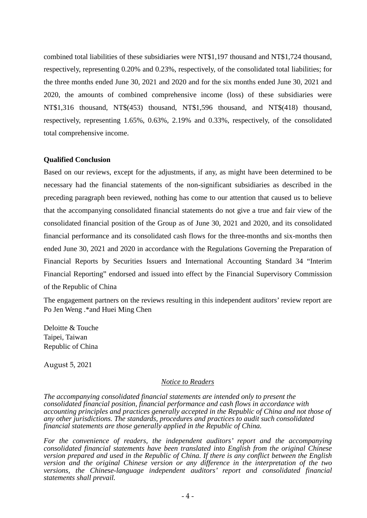combined total liabilities of these subsidiaries were NT\$1,197 thousand and NT\$1,724 thousand, respectively, representing 0.20% and 0.23%, respectively, of the consolidated total liabilities; for the three months ended June 30, 2021 and 2020 and for the six months ended June 30, 2021 and 2020, the amounts of combined comprehensive income (loss) of these subsidiaries were NT\$1,316 thousand, NT\$(453) thousand, NT\$1,596 thousand, and NT\$(418) thousand, respectively, representing 1.65%, 0.63%, 2.19% and 0.33%, respectively, of the consolidated total comprehensive income.

#### **Qualified Conclusion**

Based on our reviews, except for the adjustments, if any, as might have been determined to be necessary had the financial statements of the non-significant subsidiaries as described in the preceding paragraph been reviewed, nothing has come to our attention that caused us to believe that the accompanying consolidated financial statements do not give a true and fair view of the consolidated financial position of the Group as of June 30, 2021 and 2020, and its consolidated financial performance and its consolidated cash flows for the three-months and six-months then ended June 30, 2021 and 2020 in accordance with the Regulations Governing the Preparation of Financial Reports by Securities Issuers and International Accounting Standard 34 "Interim Financial Reporting" endorsed and issued into effect by the Financial Supervisory Commission of the Republic of China

The engagement partners on the reviews resulting in this independent auditors' review report are Po Jen Weng .\*and Huei Ming Chen

Deloitte & Touche Taipei, Taiwan Republic of China

August 5, 2021

#### *Notice to Readers*

*The accompanying consolidated financial statements are intended only to present the consolidated financial position, financial performance and cash flows in accordance with accounting principles and practices generally accepted in the Republic of China and not those of any other jurisdictions. The standards, procedures and practices to audit such consolidated financial statements are those generally applied in the Republic of China.* 

*For the convenience of readers, the independent auditors' report and the accompanying consolidated financial statements have been translated into English from the original Chinese version prepared and used in the Republic of China. If there is any conflict between the English version and the original Chinese version or any difference in the interpretation of the two versions, the Chinese-language independent auditors' report and consolidated financial statements shall prevail.*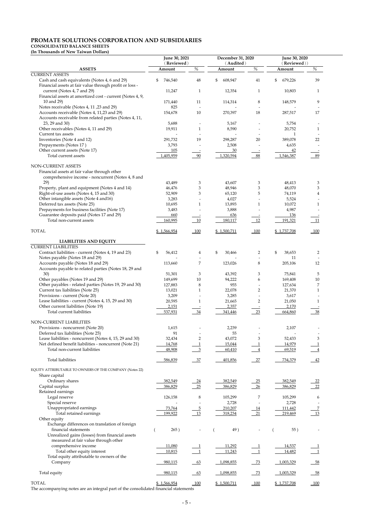# **PROMATE SOLUTIONS CORPORATION AND SUBSIDIARIES**

# **CONSOLIDATED BALANCE SHEETS**

**(In Thousands of New Taiwan Dollars)**

|                                                                                                                                                    | June 30, 2021          |                     | December 31, 2020      |                     | June 30, 2020          |                                |
|----------------------------------------------------------------------------------------------------------------------------------------------------|------------------------|---------------------|------------------------|---------------------|------------------------|--------------------------------|
| <b>ASSETS</b>                                                                                                                                      | (Reviewed)<br>Amount   | $\overline{\%}$     | (Audited)<br>Amount    | $\overline{\%}$     | (Reviewed))<br>Amount  | %                              |
| <b>CURRENT ASSETS</b>                                                                                                                              |                        |                     |                        |                     |                        |                                |
| Cash and cash equivalents (Notes 4, 6 and 29)<br>Financial assets at fair value through profit or loss -                                           | \$<br>746,540          | $48\,$              | \$<br>608,947          | 41                  | \$<br>679,226          | 39                             |
| current (Notes 4, 7 and 29)<br>Financial assets at amortized cost - current (Notes 4, 9,                                                           | 11,247                 | $\mathbf{1}$        | 12,354                 | $\mathbf{1}$        | 10,803                 | $\mathbf{1}$                   |
| 10 and 29)                                                                                                                                         | 171,440                | 11                  | 114,314                | $\,8\,$             | 148,579                | 9                              |
| Notes receivable (Notes 4, 11, 23 and 29)<br>Accounts receivable (Notes 4, 11,23 and 29)<br>Accounts receivable from related parties (Notes 4, 11, | 825<br>154,678         | $10\,$              | 270,397                | 18                  | 287,517                | 17                             |
| 23, 29 and 30)                                                                                                                                     | 5,688                  |                     | 5,167                  |                     | 5,754                  |                                |
| Other receivables (Notes 4, 11 and 29)<br>Current tax assets                                                                                       | 19,911                 | $\mathbf{1}$        | 8,590                  |                     | 20,752<br>1            | $\mathbf{1}$                   |
| Inventories (Note 4 and 12)                                                                                                                        | 291,732                | 19                  | 298,287                | $20\,$              | 389,078                | 22                             |
| Prepayments (Notes 17)<br>Other current assets (Note 17)                                                                                           | 3,793                  |                     | 2,508                  |                     | 4,635                  |                                |
| Total current assets                                                                                                                               | 105<br>1,405,959       | - 90                | 30<br>1,320,594        | 88                  | 42<br>1,546,387        | 89                             |
|                                                                                                                                                    |                        |                     |                        |                     |                        |                                |
| NON-CURRENT ASSETS<br>Financial assets at fair value through other<br>comprehensive income - noncurrent (Notes 4, 8 and                            |                        |                     |                        |                     |                        |                                |
| 29)                                                                                                                                                | 43,489                 | 3                   | 43,607                 | 3                   | 48,413                 | 3                              |
| Property, plant and equipment (Notes 4 and 14)<br>Right-of-use assets (Notes 4, 15 and 30)                                                         | 46,476<br>52,909       | 3<br>$\mathfrak{Z}$ | 48,946<br>65,120       | $\mathfrak{Z}$<br>5 | 48,070<br>74,119       | $\ensuremath{\mathsf{3}}$<br>4 |
| Other intangible assets (Note 4 and 16)                                                                                                            | 3,283                  |                     | 4,027                  |                     | 5,524                  |                                |
| Deferred tax assets (Note 25)                                                                                                                      | 10,695                 | $1\,$               | 13,893                 | $\mathbf{1}$        | 10,072                 | $\mathbf{1}$                   |
| Prepayments for business facilities (Note 17)                                                                                                      | 3,483                  |                     | 3,888                  |                     | 4,987                  |                                |
| Guarantee deposits paid (Notes 17 and 29)<br>Total non-current assets                                                                              | 660                    |                     | 636                    |                     | 136                    |                                |
| <b>TOTAL</b>                                                                                                                                       | 160,995<br>\$1,566,954 | 10                  | 180,117<br>\$1,500,711 | 12                  | 191,321<br>\$1,737,708 | 11                             |
|                                                                                                                                                    |                        | 100                 |                        | 100                 |                        | 100                            |
| <b>LIABILITIES AND EQUITY</b>                                                                                                                      |                        |                     |                        |                     |                        |                                |
| <b>CURRENT LIABILITIES</b><br>Contract liabilities - current (Notes 4, 19 and 23)                                                                  | 56,412<br>\$           | 4                   | \$<br>30,466           | $\overline{2}$      | \$<br>38,653           | $\overline{2}$                 |
| Notes payable (Notes 18 and 29)<br>Accounts payable (Notes 18 and 29)                                                                              | 113,660                | 7                   | 123,026                | $\,8\,$             | 11<br>205,106          | 12                             |
| Accounts payable to related parties (Notes 18, 29 and<br>30)                                                                                       | 51,301                 | 3                   | 43,392                 | 3                   | 75,841                 | 5                              |
| Other payables (Notes 19 and 29)                                                                                                                   | 149,699                | $10\,$              | 94,222                 | 6                   | 169,408                | 10                             |
| Other payables - related parties (Notes 19, 29 and 30)                                                                                             | 127,883                | 8                   | 955                    |                     | 127,634                | 7                              |
| Current tax liabilities (Note 25)                                                                                                                  | 13,021                 | $\mathbf{1}$        | 22,078                 | $\overline{2}$      | 21,370                 | 1                              |
| Provisions - current (Note 20)                                                                                                                     | 3,209                  |                     | 3,285                  |                     | 3,617                  |                                |
| Lease liabilities - current (Notes 4, 15, 29 and 30)<br>Other current liabilities (Note 19)                                                        | 20,595<br>2,151        | $\mathbf{1}$        | 21,665<br>2,357        | $\overline{2}$      | 21,050<br>2,170        | $\mathbf{1}$                   |
| Total current liabilities                                                                                                                          | 537,931                | 34                  | 341,446                | 23                  | 664,860                | 38                             |
|                                                                                                                                                    |                        |                     |                        |                     |                        |                                |
| NON-CURRENT LIABILITIES<br>Provisions - noncurrent (Note 20)                                                                                       | 1,615                  |                     | 2,239                  |                     | 2,107                  |                                |
| Deferred tax liabilities (Note 25)                                                                                                                 | 91                     |                     | 55                     |                     |                        |                                |
| Lease liabilities - noncurrent (Notes 4, 15, 29 and 30)                                                                                            | 32,434                 | $\overline{2}$      | 43,072                 | $\mathfrak{Z}$      | 52,433                 | 3                              |
| Net defined benefit liabilities - noncurrent (Note 21)                                                                                             | 14,768                 | $\overline{1}$      | 15,044                 | $\mathbf{1}$        | 14,979                 |                                |
| Total non-current liabilities                                                                                                                      | 48,908                 | $\overline{3}$      | 60,410                 | $\overline{4}$      | 69,519                 |                                |
| <b>Total liabilities</b>                                                                                                                           | 586,839                | 37                  | 401,856                | 27                  | 734,379                | 42                             |
| EQUITY ATTRIBUTABLE TO OWNERS OF THE COMPANY (Notes 22)<br>Share capital                                                                           |                        |                     |                        |                     |                        |                                |
| Ordinary shares                                                                                                                                    | 382,549                | 24                  | 382,549                | 25                  | 382,549                | $\frac{22}{2}$                 |
| Capital surplus                                                                                                                                    | 386,829                | 25                  | 386,829                | 26                  | 386,829                | $\frac{22}{2}$                 |
| Retained earnings<br>Legal reserve                                                                                                                 | 126,158                | $\,8\,$             | 105,299                | 7                   | 105,299                | 6                              |
| Special reserve                                                                                                                                    |                        |                     | 2,728                  |                     | 2,728                  |                                |
| Unappropriated earnings                                                                                                                            | 73,764                 | $\overline{5}$      | 210,207                | <u>14</u>           | 111,442                | $\overline{7}$                 |
| Total retained earnings                                                                                                                            | 199,922                | 13                  | 318,234                | 21                  | 219,469                | 13                             |
| Other equity                                                                                                                                       |                        |                     |                        |                     |                        |                                |
| Exchange differences on translation of foreign<br>financial statements                                                                             | 265)                   |                     | 49)                    |                     | 55)                    |                                |
| Unrealized gains (losses) from financial assets<br>measured at fair value through other                                                            |                        |                     |                        |                     |                        |                                |
| comprehensive income                                                                                                                               | 11,080                 |                     | 11,292                 |                     | 14,537                 |                                |
| Total other equity interest                                                                                                                        | 10,815                 |                     | 11,243                 |                     | 14,482                 |                                |
| Total equity attributable to owners of the<br>Company                                                                                              | 980,115                | $-63$               | 1,098,855              | $-73$               | 1,003,329              | $-58$                          |
| Total equity                                                                                                                                       | 980,115                | $-63$               | 1,098,855              | $-73$               | 1,003,329              | $-58$                          |
| <b>TOTAL</b>                                                                                                                                       | \$1,566,954            | 100                 | \$1,500,711            | 100                 | \$1,737,708            | 100                            |
| TT1.                                                                                                                                               |                        |                     |                        |                     |                        |                                |

The accompanying notes are an integral part of the consolidated financial statements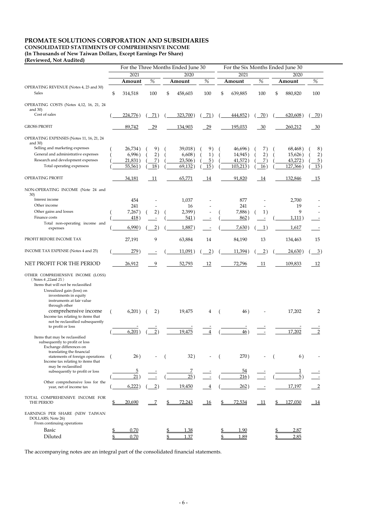# **PROMATE SOLUTIONS CORPORATION AND SUBSIDIARIES**

**CONSOLIDATED STATEMENTS OF COMPREHENSIVE INCOME**

**(In Thousands of New Taiwan Dollars, Except Earnings Per Share)**

#### **(Reviewed, Not Audited)**

|                                                                                                    | For the Three Months Ended June 30 |                 |    | For the Six Months Ended June 30 |                 |    |          |                 |    |         |                 |
|----------------------------------------------------------------------------------------------------|------------------------------------|-----------------|----|----------------------------------|-----------------|----|----------|-----------------|----|---------|-----------------|
|                                                                                                    | 2021                               |                 |    | 2020                             |                 |    | 2021     |                 |    | 2020    |                 |
|                                                                                                    | Amount                             | $\%$            |    | Amount                           | $\%$            |    | Amount   | %               |    | Amount  | $\%$            |
| OPERATING REVENUE (Notes 4, 23 and 30)<br><b>Sales</b>                                             | \$<br>314,518                      | 100             | \$ | 458,603                          | 100             | \$ | 639,885  | 100             | \$ | 880,820 | 100             |
| OPERATING COSTS (Notes 4,12, 16, 21, 24<br>and $30$ )                                              |                                    |                 |    |                                  |                 |    |          |                 |    |         |                 |
| Cost of sales                                                                                      | 224,776)                           | 71)             |    | 323,700                          | 71)             |    | 444,852) | 70)             |    | 620,608 | 70)             |
| <b>GROSS PROFIT</b>                                                                                | 89,742                             | 29              |    | 134,903                          | 29              |    | 195,033  | $-30$           |    | 260,212 | 30              |
| OPERATING EXPENSES (Notes 11, 16, 21, 24<br>and $30$ )                                             |                                    |                 |    |                                  |                 |    |          |                 |    |         |                 |
| Selling and marketing expenses                                                                     | 26,734)                            | 9)              |    | 39,018)                          | 9)              |    | 46,696)  | 7)              |    | 68,468) | 8)              |
| General and administrative expenses                                                                | 6,996)                             | 2)              |    | 6,608)                           | 1)              |    | 14,945)  | 2)              |    | 15,626) | 2)              |
| Research and development expenses                                                                  | $21,831$ )                         | 7)              |    | 23,506                           | $\overline{5})$ |    | 41,572)  | <u>Z)</u>       |    | 43,272) | $\overline{5})$ |
| Total operating expensess                                                                          | 55,561                             | 18)             |    | 69,132)                          | 15)             |    | 103,213  | 16)             |    | 127,366 | 15)             |
| OPERATING PROFIT                                                                                   | 34,181                             | 11              |    | 65,771                           | 14              |    | 91,820   | 14              |    | 132,846 | 15              |
| NON-OPERATING INCOME (Note 24 and<br>30)                                                           |                                    |                 |    |                                  |                 |    |          |                 |    |         |                 |
| Interest income                                                                                    | 454                                |                 |    | 1,037                            |                 |    | 877      |                 |    | 2,700   |                 |
| Other income                                                                                       | 241                                |                 |    | 16                               |                 |    | 241      |                 |    | 19      |                 |
| Other gains and losses                                                                             | 7,267)                             | 2)              |    | 2,399)                           |                 |    | 7,886)   | 1)              |    | 9       |                 |
| Finance costs                                                                                      | 418                                |                 |    | 541                              |                 |    | 862)     |                 |    | 1,111   |                 |
| Total non-operating income and                                                                     |                                    |                 |    |                                  |                 |    |          |                 |    |         |                 |
| expenses                                                                                           | 6,990)                             | $\overline{2})$ |    | 1,887                            |                 |    | 7,630)   | $\perp$ 1)      |    | 1,617   |                 |
| PROFIT BEFORE INCOME TAX                                                                           | 27,191                             | 9               |    | 63,884                           | 14              |    | 84,190   | 13              |    | 134,463 | 15              |
| INCOME TAX EXPENSE (Notes 4 and 25)                                                                | 279)                               |                 |    | 11,091                           | $\overline{2})$ |    | 11,394)  | $\overline{2})$ |    | 24,630) | $\overline{3})$ |
| NET PROFIT FOR THE PERIOD                                                                          | 26,912                             | 9               |    | 52,793                           | 12              |    | 72,796   | 11              |    | 109,833 | 12              |
| OTHER COMPREHENSIVE INCOME (LOSS)<br>(Notes 4,22and 25)<br>Items that will not be reclassified     |                                    |                 |    |                                  |                 |    |          |                 |    |         |                 |
| Unrealized gain (loss) on<br>investments in equity<br>instruments at fair value<br>through other   |                                    |                 |    |                                  |                 |    |          |                 |    |         |                 |
| comprehensive income<br>Income tax relating to items that<br>not be reclassified subsequently      | 6,201)                             | 2)              |    | 19,475                           | $\overline{4}$  |    | 46)      |                 |    | 17,202  | 2               |
| to profit or loss                                                                                  |                                    |                 |    |                                  |                 |    |          |                 |    |         |                 |
| Items that may be reclassified<br>subsequently to profit or loss<br>Exchange differences on        | 6,201                              | $\overline{2})$ |    | 19,475                           |                 |    | 46)      |                 |    | 17,202  |                 |
| translating the financial<br>statements of foreign operations<br>Income tax relating to items that | 26)                                |                 |    | 32)                              |                 |    | 270)     |                 |    | 6)      |                 |
| may be reclassified                                                                                |                                    |                 |    |                                  |                 |    | 54       |                 |    |         |                 |
| subsequently to profit or loss                                                                     | <u>5</u><br>21                     |                 |    | 25                               |                 |    | 216)     |                 |    | 5       |                 |
| Other comprehensive loss for the<br>year, net of income tax                                        | 6,222                              | $\overline{2})$ |    | 19,450                           |                 |    | 262)     |                 |    | 17,197  |                 |

| TOTAL COMPREHENSIVE INCOME FOR<br>THE PERIOD                                      | 20,690   |  | 72,243 | 16 | 72,534 |  | <u>127,030</u> | 14 |
|-----------------------------------------------------------------------------------|----------|--|--------|----|--------|--|----------------|----|
| EARNINGS PER SHARE (NEW TAIWAN<br>DOLLARS; Note 26)<br>From continuing operations |          |  |        |    |        |  |                |    |
| <b>Basic</b>                                                                      | 0.70     |  | 1.38   |    | 0.90   |  | 2.87           |    |
| Diluted                                                                           | $0.70\,$ |  |        |    | .89    |  | 2.85           |    |

The accompanying notes are an integral part of the consolidated financial statements.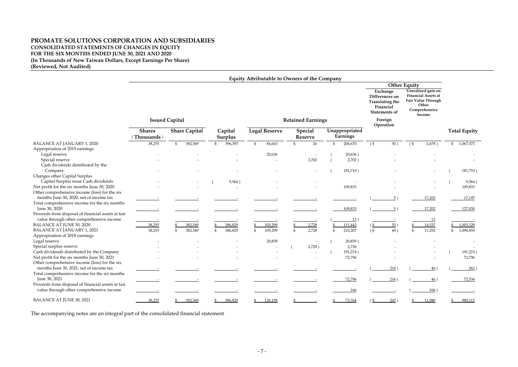# **PROMATE SOLUTIONS CORPORATION AND SUBSIDIARIES CONSOLIDATED STATEMENTS OF CHANGES IN EQUITY FOR THE SIX MONTHS ENDED JUNE 30, 2021 AND 2020 (In Thousands of New Taiwan Dollars, Except Earnings Per Share) (Reviewed, Not Audited)**

|                                                                                                |                             |                           |                           | <b>Equity Attributable to Owners of the Company</b> |                                  |                            |                                                                                           |                                                                                                            |                     |
|------------------------------------------------------------------------------------------------|-----------------------------|---------------------------|---------------------------|-----------------------------------------------------|----------------------------------|----------------------------|-------------------------------------------------------------------------------------------|------------------------------------------------------------------------------------------------------------|---------------------|
|                                                                                                |                             |                           |                           |                                                     |                                  |                            | <b>Other Equity</b>                                                                       |                                                                                                            |                     |
|                                                                                                |                             |                           |                           |                                                     |                                  |                            | Exchange<br>Differences on<br><b>Translating the</b><br>Financial<br><b>Statements of</b> | Unrealized gain on<br><b>Financial Assets at</b><br>Fair Value Through<br>Other<br>Comprehensive<br>Income |                     |
|                                                                                                |                             | <b>Issued Capital</b>     |                           |                                                     | <b>Retained Earnings</b>         |                            | Foreign                                                                                   |                                                                                                            |                     |
|                                                                                                | <b>Shares</b><br>Thousands) | <b>Share Capital</b>      | Capital<br><b>Surplus</b> | <b>Legal Reserve</b>                                | <b>Special</b><br><b>Reserve</b> | Unappropriated<br>Earnings | Operation                                                                                 |                                                                                                            | <b>Total Equity</b> |
| <b>BALANCE AT JANUARY 1, 2020</b>                                                              | 38,255                      | 382,549<br>$\mathfrak{S}$ | 396,393<br>\$             | 84,663<br>$\mathbb{S}$                              | 26<br>$\mathfrak{L}$             | $\mathfrak{S}$<br>206,670  | $($ \$<br>50)                                                                             | $($ \$<br>2,678)                                                                                           | \$1,067,573         |
| Appropriation of 2019 earnings                                                                 |                             |                           |                           |                                                     |                                  |                            |                                                                                           |                                                                                                            |                     |
| Legal reserve                                                                                  |                             |                           |                           | 20,636                                              |                                  | 20,636)                    |                                                                                           |                                                                                                            |                     |
| Special reserve                                                                                |                             |                           |                           |                                                     | 2,702                            | 2,702)                     |                                                                                           |                                                                                                            |                     |
| Cash dividends distributed by the                                                              |                             |                           |                           |                                                     |                                  |                            |                                                                                           |                                                                                                            |                     |
| Company                                                                                        |                             |                           |                           |                                                     |                                  | 181,710)                   |                                                                                           |                                                                                                            | 181,710)            |
| Changes other Capital Surplus                                                                  |                             |                           |                           |                                                     |                                  |                            |                                                                                           |                                                                                                            |                     |
| Capital Surplus issue Cash dividends                                                           |                             |                           | 9,564)                    |                                                     |                                  |                            |                                                                                           |                                                                                                            | 9,564)              |
| Net profit for the six months June 30, 2020                                                    |                             |                           |                           |                                                     |                                  | 109,833                    |                                                                                           |                                                                                                            | 109,833             |
| Other comprehensive income (loss) for the six                                                  |                             |                           |                           |                                                     |                                  |                            |                                                                                           |                                                                                                            |                     |
| months June 30, 2020, net of income tax                                                        |                             |                           |                           |                                                     |                                  |                            | $5^{\circ}$                                                                               | 17,202                                                                                                     | 17,197              |
| Total comprehensive income for the six months<br>June 30, 2020                                 |                             |                           |                           |                                                     |                                  | 109,833                    | 5)                                                                                        | 17,202                                                                                                     | 127,030             |
| Proceeds from disposal of financial assets at fair<br>value through other comprehensive income |                             |                           |                           |                                                     |                                  | 13)                        |                                                                                           | <u>13</u>                                                                                                  |                     |
| <b>BALANCE AT JUNE 30, 2020</b>                                                                | 38,255                      | 382,549                   | 386,829                   | 105,299                                             | 2,728                            | 111,442                    | 55)<br>6                                                                                  | 14,537                                                                                                     | 1,003,329           |
| <b>BALANCE AT JANUARY 1, 2021</b>                                                              | 38,255                      | 382,549<br>\$             | 386,829<br>\$             | 105,299<br>$\mathbb{S}$                             | 2,728<br>$\mathfrak{L}$          | 210,207<br>\$              | $($ \$<br>49)                                                                             | 11,292<br>\$                                                                                               | 1,098,855           |
| Appropriation of 2018 earnings                                                                 |                             |                           |                           |                                                     |                                  |                            |                                                                                           |                                                                                                            |                     |
| Legal reserve                                                                                  |                             |                           |                           | 20,859                                              |                                  | 20,859)                    |                                                                                           |                                                                                                            |                     |
| Special surplus reserve                                                                        |                             |                           |                           |                                                     | 2,728)                           | 2,728                      |                                                                                           |                                                                                                            |                     |
| Cash dividends distributed by the Company                                                      |                             |                           |                           |                                                     |                                  | 191,274)                   |                                                                                           |                                                                                                            | 191,274)            |
| Net profit for the six months June 30, 2021                                                    |                             |                           |                           |                                                     |                                  | 72,796                     |                                                                                           |                                                                                                            | 72,796              |
| Other comprehensive income (loss) for the six<br>months June 30, 2021, net of income tax       |                             |                           |                           |                                                     |                                  |                            | 216)                                                                                      | 46)                                                                                                        | 262)                |
| Total comprehensive income for the six months                                                  |                             |                           |                           |                                                     |                                  |                            |                                                                                           |                                                                                                            |                     |
| June 30, 2021                                                                                  |                             |                           |                           |                                                     |                                  | 72,796                     | 216)                                                                                      |                                                                                                            | 72,534              |
| Proceeds from disposal of financial assets at fair                                             |                             |                           |                           |                                                     |                                  |                            |                                                                                           | 46)                                                                                                        |                     |
| value through other comprehensive income                                                       |                             |                           |                           |                                                     |                                  | <u>166</u>                 |                                                                                           | 166)                                                                                                       |                     |
| <b>BALANCE AT JUNE 30, 2021</b>                                                                | 38,255                      | 382,549                   | 386,829                   | $\frac{$}{2}$ 126,158                               |                                  | 73,764                     | 265)                                                                                      | 11,080                                                                                                     | 980,115             |

The accompanying notes are an integral part of the consolidated financial statement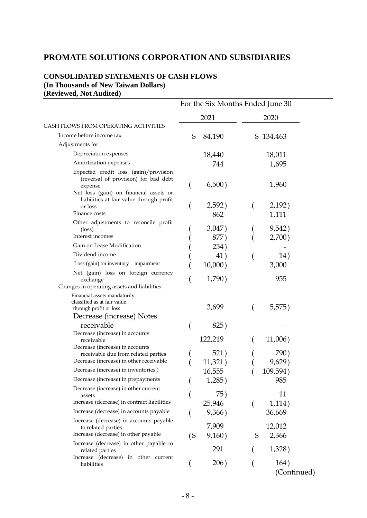# **PROMATE SOLUTIONS CORPORATION AND SUBSIDIARIES**

# **CONSOLIDATED STATEMENTS OF CASH FLOWS (In Thousands of New Taiwan Dollars) (Reviewed, Not Audited)**

|                                                                                                                                                                                                              | For the Six Months Ended June 30               |                                             |  |  |
|--------------------------------------------------------------------------------------------------------------------------------------------------------------------------------------------------------------|------------------------------------------------|---------------------------------------------|--|--|
|                                                                                                                                                                                                              | 2021                                           | 2020                                        |  |  |
| CASH FLOWS FROM OPERATING ACTIVITIES                                                                                                                                                                         |                                                |                                             |  |  |
| Income before income tax                                                                                                                                                                                     | 84,190<br>\$                                   | 134,463<br>\$                               |  |  |
| Adjustments for:                                                                                                                                                                                             |                                                |                                             |  |  |
| Depreciation expenses                                                                                                                                                                                        | 18,440                                         | 18,011                                      |  |  |
| Amortization expenses                                                                                                                                                                                        | 744                                            | 1,695                                       |  |  |
| Expected credit loss (gain)/provision<br>(reversal of provision) for bad debt<br>expense<br>Net loss (gain) on financial assets or<br>liabilities at fair value through profit<br>or loss<br>Finance costs   | 6,500)<br>2,592)                               | 1,960<br>2,192)                             |  |  |
|                                                                                                                                                                                                              | 862                                            | 1,111                                       |  |  |
| Other adjustments to reconcile profit<br>$(\text{loss})$<br>Interest incomes                                                                                                                                 | 3,047)<br>877)                                 | 9,542)<br>2,700)                            |  |  |
| Gain on Lease Modification<br>Dividend income                                                                                                                                                                | 254)                                           |                                             |  |  |
| Loss (gain) on inventory impairment                                                                                                                                                                          | 41)                                            | 14)                                         |  |  |
| Net (gain) loss on foreign currency<br>exchange<br>Changes in operating assets and liabilities                                                                                                               | $10,000$ )<br>1,790)                           | 3,000<br>955                                |  |  |
| Financial assets mandatorily<br>classified as at fair value<br>through profit or loss<br>Decrease (increase) Notes<br>receivable                                                                             | 3,699<br>825)                                  | 5,575)                                      |  |  |
| Decrease (increase) in accounts                                                                                                                                                                              |                                                |                                             |  |  |
| receivable<br>Decrease (increase) in accounts<br>receivable due from related parties<br>Decrease (increase) in other receivable<br>Decrease (increase) in inventories)<br>Decrease (increase) in prepayments | 122,219<br>521)<br>11,321)<br>16,555<br>1,285) | 11,006)<br>790)<br>9,629)<br>109,594<br>985 |  |  |
| Decrease (increase) in other current<br>assets<br>Increase (decrease) in contract liabilities                                                                                                                | 75)<br>25,946                                  | 11<br>1,114)                                |  |  |
| Increase (decrease) in accounts payable                                                                                                                                                                      | 9,366)                                         | 36,669                                      |  |  |
| Increase (decrease) in accounts payable<br>to related parties<br>Increase (decrease) in other payable                                                                                                        | 7,909<br>$($ \$<br>9,160)                      | 12,012<br>\$<br>2,366                       |  |  |
| Increase (decrease) in other payable to<br>related parties                                                                                                                                                   | 291                                            | 1,328)                                      |  |  |
| Increase (decrease) in other current<br>liabilities                                                                                                                                                          | 206)                                           | 164)<br>(Continued)                         |  |  |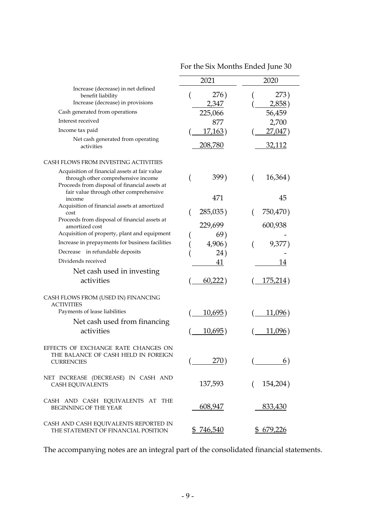|                                                                                                                                                                                | 2021            | 2020                   |
|--------------------------------------------------------------------------------------------------------------------------------------------------------------------------------|-----------------|------------------------|
| Increase (decrease) in net defined<br>benefit liability<br>Increase (decrease) in provisions                                                                                   | 276)<br>2,347   | 273)<br><u>2,858</u> ) |
| Cash generated from operations                                                                                                                                                 | 225,066         | 56,459                 |
| Interest received                                                                                                                                                              | 877             | 2,700                  |
| Income tax paid                                                                                                                                                                | 17,163)         | 27,047)                |
| Net cash generated from operating<br>activities                                                                                                                                | <u>208,780</u>  | <u>32,112</u>          |
| CASH FLOWS FROM INVESTING ACTIVITIES                                                                                                                                           |                 |                        |
| Acquisition of financial assets at fair value<br>through other comprehensive income<br>Proceeds from disposal of financial assets at<br>fair value through other comprehensive | 399)            | 16,364)                |
| income                                                                                                                                                                         | 471             | 45                     |
| Acquisition of financial assets at amortized<br>cost                                                                                                                           | 285,035)        | 750,470)               |
| Proceeds from disposal of financial assets at<br>amortized cost                                                                                                                | 229,699         | 600,938                |
| Acquisition of property, plant and equipment                                                                                                                                   | 69)             |                        |
| Increase in prepayments for business facilities                                                                                                                                | 4,906)          | 9,377                  |
| Decrease in refundable deposits                                                                                                                                                | 24)             |                        |
| Dividends received                                                                                                                                                             | 41              | 14                     |
| Net cash used in investing                                                                                                                                                     |                 |                        |
| activities                                                                                                                                                                     | 60,222)         | <u>175,214</u> )       |
| CASH FLOWS FROM (USED IN) FINANCING<br><b>ACTIVITIES</b>                                                                                                                       |                 |                        |
| Payments of lease liabilities                                                                                                                                                  | <u>10,695</u> ) | <u>11,096)</u>         |
| Net cash used from financing                                                                                                                                                   |                 |                        |
| activities                                                                                                                                                                     | <u>10,695</u> ) | 11,096)                |
| EFFECTS OF EXCHANGE RATE CHANGES ON<br>THE BALANCE OF CASH HELD IN FOREIGN<br><b>CURRENCIES</b>                                                                                | 270)            | 6)                     |
| NET INCREASE (DECREASE) IN CASH AND<br>CASH EQUIVALENTS                                                                                                                        | 137,593         | 154,204)<br>(          |
| CASH AND CASH EQUIVALENTS AT THE<br>BEGINNING OF THE YEAR                                                                                                                      | 608,947         | 833,430                |
| CASH AND CASH EQUIVALENTS REPORTED IN<br>THE STATEMENT OF FINANCIAL POSITION                                                                                                   | \$746,540       | \$ 679,226             |

For the Six Months Ended June 30

The accompanying notes are an integral part of the consolidated financial statements.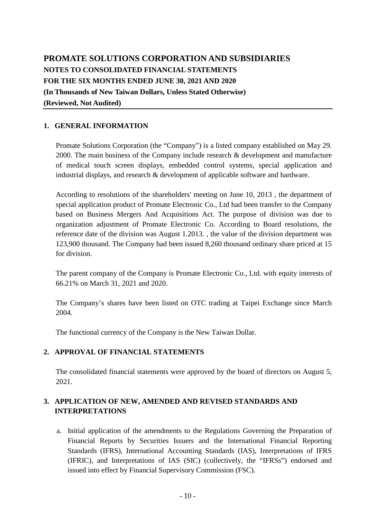# **PROMATE SOLUTIONS CORPORATION AND SUBSIDIARIES NOTES TO CONSOLIDATED FINANCIAL STATEMENTS FOR THE SIX MONTHS ENDED JUNE 30, 2021 AND 2020 (In Thousands of New Taiwan Dollars, Unless Stated Otherwise) (Reviewed, Not Audited)**

# **1. GENERAL INFORMATION**

Promate Solutions Corporation (the "Company") is a listed company established on May 29. 2000. The main business of the Company include research & development and manufacture of medical touch screen displays, embedded control systems, special application and industrial displays, and research & development of applicable software and hardware.

According to resolutions of the shareholders' meeting on June 10, 2013 , the department of special application product of Promate Electronic Co., Ltd had been transfer to the Company based on Business Mergers And Acquisitions Act. The purpose of division was due to organization adjustment of Promate Electronic Co. According to Board resolutions, the reference date of the division was August 1.2013. , the value of the division department was 123,900 thousand. The Company had been issued 8,260 thousand ordinary share priced at 15 for division.

The parent company of the Company is Promate Electronic Co., Ltd. with equity interests of 66.21% on March 31, 2021 and 2020.

The Company's shares have been listed on OTC trading at Taipei Exchange since March 2004.

The functional currency of the Company is the New Taiwan Dollar.

# **2. APPROVAL OF FINANCIAL STATEMENTS**

The consolidated financial statements were approved by the board of directors on August 5, 2021.

# **3. APPLICATION OF NEW, AMENDED AND REVISED STANDARDS AND INTERPRETATIONS**

a. Initial application of the amendments to the Regulations Governing the Preparation of Financial Reports by Securities Issuers and the International Financial Reporting Standards (IFRS), International Accounting Standards (IAS), Interpretations of IFRS (IFRIC), and Interpretations of IAS (SIC) (collectively, the "IFRSs") endorsed and issued into effect by Financial Supervisory Commission (FSC).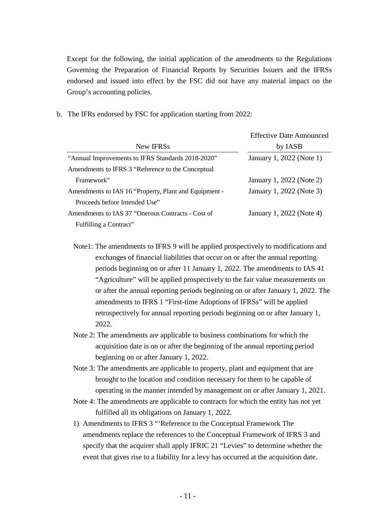Except for the following, the initial application of the amendments to the Regulations Governing the Preparation of Financial Reports by Securities Issuers and the IFRSs endorsed and issued into effect by the FSC did not have any material impact on the Group's accounting policies.

b. The IFRs endorsed by FSC for application starting from 2022:

|                                                       | <b>Effective Date Announced</b> |
|-------------------------------------------------------|---------------------------------|
| New IFRSs                                             | by IASB                         |
| "Annual Improvements to IFRS Standards 2018-2020"     | January 1, 2022 (Note 1)        |
| Amendments to IFRS 3 "Reference to the Conceptual     |                                 |
| Framework"                                            | January 1, 2022 (Note 2)        |
| Amendments to IAS 16 "Property, Plant and Equipment - | January 1, 2022 (Note 3)        |
| Proceeds before Intended Use"                         |                                 |
| Amendments to IAS 37 "Onerous Contracts - Cost of     | January 1, 2022 (Note 4)        |
| Fulfilling a Contract"                                |                                 |

Note1: The amendments to IFRS 9 will be applied prospectively to modifications and exchanges of financial liabilities that occur on or after the annual reporting periods beginning on or after 11 January 1, 2022. The amendments to IAS 41 "Agriculture" will be applied prospectively to the fair value measurements on or after the annual reporting periods beginning on or after January 1, 2022. The amendments to IFRS 1 "First-time Adoptions of IFRSs" will be applied retrospectively for annual reporting periods beginning on or after January 1, 2022.

- Note 2: The amendments are applicable to business combinations for which the acquisition date is on or after the beginning of the annual reporting period beginning on or after January 1, 2022.
- Note 3: The amendments are applicable to property, plant and equipment that are brought to the location and condition necessary for them to be capable of operating in the manner intended by management on or after January 1, 2021.
- Note 4: The amendments are applicable to contracts for which the entity has not yet fulfilled all its obligations on January 1, 2022.
- 1) Amendments to IFRS 3 "'Reference to the Conceptual Framework The amendments replace the references to the Conceptual Framework of IFRS 3 and specify that the acquirer shall apply IFRIC 21 "Levies" to determine whether the event that gives rise to a liability for a levy has occurred at the acquisition date.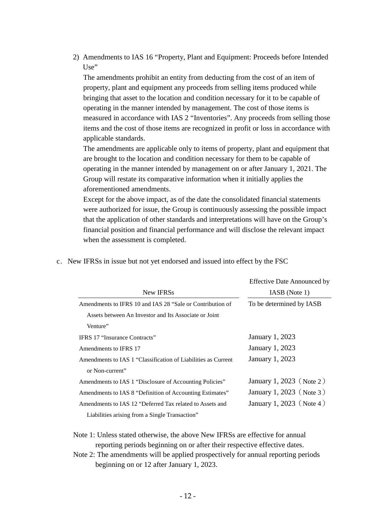2) Amendments to IAS 16 "Property, Plant and Equipment: Proceeds before Intended  $Use$ 

The amendments prohibit an entity from deducting from the cost of an item of property, plant and equipment any proceeds from selling items produced while bringing that asset to the location and condition necessary for it to be capable of operating in the manner intended by management. The cost of those items is measured in accordance with IAS 2 "Inventories". Any proceeds from selling those items and the cost of those items are recognized in profit or loss in accordance with applicable standards.

The amendments are applicable only to items of property, plant and equipment that are brought to the location and condition necessary for them to be capable of operating in the manner intended by management on or after January 1, 2021. The Group will restate its comparative information when it initially applies the aforementioned amendments.

Except for the above impact, as of the date the consolidated financial statements were authorized for issue, the Group is continuously assessing the possible impact that the application of other standards and interpretations will have on the Group's financial position and financial performance and will disclose the relevant impact when the assessment is completed.

|                                                               | <b>Effective Date Announced by</b> |  |  |  |
|---------------------------------------------------------------|------------------------------------|--|--|--|
| New IFRSs                                                     | IASB (Note 1)                      |  |  |  |
| Amendments to IFRS 10 and IAS 28 "Sale or Contribution of     | To be determined by IASB           |  |  |  |
| Assets between An Investor and Its Associate or Joint         |                                    |  |  |  |
| Venture"                                                      |                                    |  |  |  |
| <b>IFRS 17 "Insurance Contracts"</b>                          | January 1, 2023                    |  |  |  |
| Amendments to IFRS 17                                         | January 1, 2023                    |  |  |  |
| Amendments to IAS 1 "Classification of Liabilities as Current | January 1, 2023                    |  |  |  |
| or Non-current"                                               |                                    |  |  |  |
| Amendments to IAS 1 "Disclosure of Accounting Policies"       | January 1, 2023 (Note 2)           |  |  |  |
| Amendments to IAS 8 "Definition of Accounting Estimates"      | January 1, 2023 (Note 3)           |  |  |  |
| Amendments to IAS 12 "Deferred Tax related to Assets and      | January 1, 2023 (Note 4)           |  |  |  |
| Liabilities arising from a Single Transaction"                |                                    |  |  |  |

c. New IFRSs in issue but not yet endorsed and issued into effect by the FSC

Note 1: Unless stated otherwise, the above New IFRSs are effective for annual reporting periods beginning on or after their respective effective dates.

Note 2: The amendments will be applied prospectively for annual reporting periods beginning on or 12 after January 1, 2023.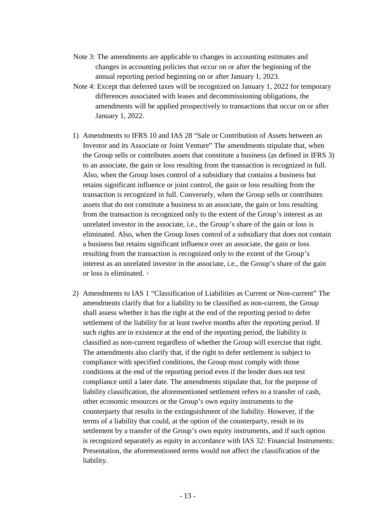- Note 3: The amendments are applicable to changes in accounting estimates and changes in accounting policies that occur on or after the beginning of the annual reporting period beginning on or after January 1, 2023.
- Note 4: Except that deferred taxes will be recognized on January 1, 2022 for temporary differences associated with leases and decommissioning obligations, the amendments will be applied prospectively to transactions that occur on or after January 1, 2022.
- 1) Amendments to IFRS 10 and IAS 28 "Sale or Contribution of Assets between an Investor and its Associate or Joint Venture" The amendments stipulate that, when the Group sells or contributes assets that constitute a business (as defined in IFRS 3) to an associate, the gain or loss resulting from the transaction is recognized in full. Also, when the Group loses control of a subsidiary that contains a business but retains significant influence or joint control, the gain or loss resulting from the transaction is recognized in full. Conversely, when the Group sells or contributes assets that do not constitute a business to an associate, the gain or loss resulting from the transaction is recognized only to the extent of the Group's interest as an unrelated investor in the associate, i.e., the Group's share of the gain or loss is eliminated. Also, when the Group loses control of a subsidiary that does not contain a business but retains significant influence over an associate, the gain or loss resulting from the transaction is recognized only to the extent of the Group's interest as an unrelated investor in the associate, i.e., the Group's share of the gain or loss is eliminated.。
- 2) Amendments to IAS 1 "Classification of Liabilities as Current or Non-current" The amendments clarify that for a liability to be classified as non-current, the Group shall assess whether it has the right at the end of the reporting period to defer settlement of the liability for at least twelve months after the reporting period. If such rights are in existence at the end of the reporting period, the liability is classified as non-current regardless of whether the Group will exercise that right. The amendments also clarify that, if the right to defer settlement is subject to compliance with specified conditions, the Group must comply with those conditions at the end of the reporting period even if the lender does not test compliance until a later date. The amendments stipulate that, for the purpose of liability classification, the aforementioned settlement refers to a transfer of cash, other economic resources or the Group's own equity instruments to the counterparty that results in the extinguishment of the liability. However, if the terms of a liability that could, at the option of the counterparty, result in its settlement by a transfer of the Group's own equity instruments, and if such option is recognized separately as equity in accordance with IAS 32: Financial Instruments: Presentation, the aforementioned terms would not affect the classification of the liability.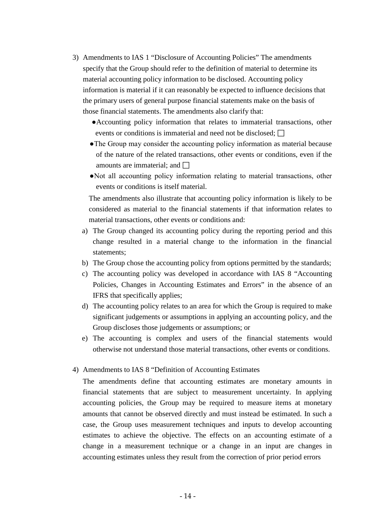- 3) Amendments to IAS 1 "Disclosure of Accounting Policies" The amendments specify that the Group should refer to the definition of material to determine its material accounting policy information to be disclosed. Accounting policy information is material if it can reasonably be expected to influence decisions that the primary users of general purpose financial statements make on the basis of those financial statements. The amendments also clarify that:
	- ●Accounting policy information that relates to immaterial transactions, other events or conditions is immaterial and need not be disclosed;  $\Box$
	- ●The Group may consider the accounting policy information as material because of the nature of the related transactions, other events or conditions, even if the amounts are immaterial; and  $\Box$
	- ●Not all accounting policy information relating to material transactions, other events or conditions is itself material.

The amendments also illustrate that accounting policy information is likely to be considered as material to the financial statements if that information relates to material transactions, other events or conditions and:

- a) The Group changed its accounting policy during the reporting period and this change resulted in a material change to the information in the financial statements;
- b) The Group chose the accounting policy from options permitted by the standards;
- c) The accounting policy was developed in accordance with IAS 8 "Accounting Policies, Changes in Accounting Estimates and Errors" in the absence of an IFRS that specifically applies;
- d) The accounting policy relates to an area for which the Group is required to make significant judgements or assumptions in applying an accounting policy, and the Group discloses those judgements or assumptions; or
- e) The accounting is complex and users of the financial statements would otherwise not understand those material transactions, other events or conditions.

#### 4) Amendments to IAS 8 "Definition of Accounting Estimates

The amendments define that accounting estimates are monetary amounts in financial statements that are subject to measurement uncertainty. In applying accounting policies, the Group may be required to measure items at monetary amounts that cannot be observed directly and must instead be estimated. In such a case, the Group uses measurement techniques and inputs to develop accounting estimates to achieve the objective. The effects on an accounting estimate of a change in a measurement technique or a change in an input are changes in accounting estimates unless they result from the correction of prior period errors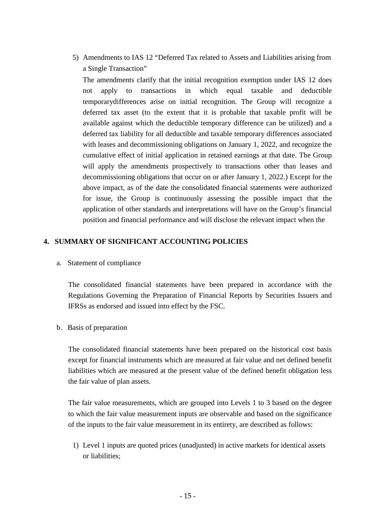5) Amendments to IAS 12 "Deferred Tax related to Assets and Liabilities arising from a Single Transaction"

The amendments clarify that the initial recognition exemption under IAS 12 does not apply to transactions in which equal taxable and deductible temporarydifferences arise on initial recognition. The Group will recognize a deferred tax asset (to the extent that it is probable that taxable profit will be available against which the deductible temporary difference can be utilized) and a deferred tax liability for all deductible and taxable temporary differences associated with leases and decommissioning obligations on January 1, 2022, and recognize the cumulative effect of initial application in retained earnings at that date. The Group will apply the amendments prospectively to transactions other than leases and decommissioning obligations that occur on or after January 1, 2022.) Except for the above impact, as of the date the consolidated financial statements were authorized for issue, the Group is continuously assessing the possible impact that the application of other standards and interpretations will have on the Group's financial position and financial performance and will disclose the relevant impact when the

# **4. SUMMARY OF SIGNIFICANT ACCOUNTING POLICIES**

a. Statement of compliance

The consolidated financial statements have been prepared in accordance with the Regulations Governing the Preparation of Financial Reports by Securities Issuers and IFRSs as endorsed and issued into effect by the FSC.

b. Basis of preparation

The consolidated financial statements have been prepared on the historical cost basis except for financial instruments which are measured at fair value and net defined benefit liabilities which are measured at the present value of the defined benefit obligation less the fair value of plan assets.

The fair value measurements, which are grouped into Levels 1 to 3 based on the degree to which the fair value measurement inputs are observable and based on the significance of the inputs to the fair value measurement in its entirety, are described as follows:

1) Level 1 inputs are quoted prices (unadjusted) in active markets for identical assets or liabilities;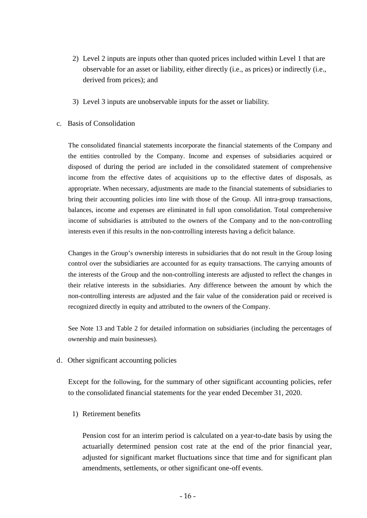- 2) Level 2 inputs are inputs other than quoted prices included within Level 1 that are observable for an asset or liability, either directly (i.e., as prices) or indirectly (i.e., derived from prices); and
- 3) Level 3 inputs are unobservable inputs for the asset or liability.
- c. Basis of Consolidation

The consolidated financial statements incorporate the financial statements of the Company and the entities controlled by the Company. Income and expenses of subsidiaries acquired or disposed of during the period are included in the consolidated statement of comprehensive income from the effective dates of acquisitions up to the effective dates of disposals, as appropriate. When necessary, adjustments are made to the financial statements of subsidiaries to bring their accounting policies into line with those of the Group. All intra-group transactions, balances, income and expenses are eliminated in full upon consolidation. Total comprehensive income of subsidiaries is attributed to the owners of the Company and to the non-controlling interests even if this results in the non-controlling interests having a deficit balance.

Changes in the Group's ownership interests in subsidiaries that do not result in the Group losing control over the subsidiaries are accounted for as equity transactions. The carrying amounts of the interests of the Group and the non-controlling interests are adjusted to reflect the changes in their relative interests in the subsidiaries. Any difference between the amount by which the non-controlling interests are adjusted and the fair value of the consideration paid or received is recognized directly in equity and attributed to the owners of the Company.

See Note 13 and Table 2 for detailed information on subsidiaries (including the percentages of ownership and main businesses).

d. Other significant accounting policies

Except for the following, for the summary of other significant accounting policies, refer to the consolidated financial statements for the year ended December 31, 2020.

1) Retirement benefits

Pension cost for an interim period is calculated on a year-to-date basis by using the actuarially determined pension cost rate at the end of the prior financial year, adjusted for significant market fluctuations since that time and for significant plan amendments, settlements, or other significant one-off events.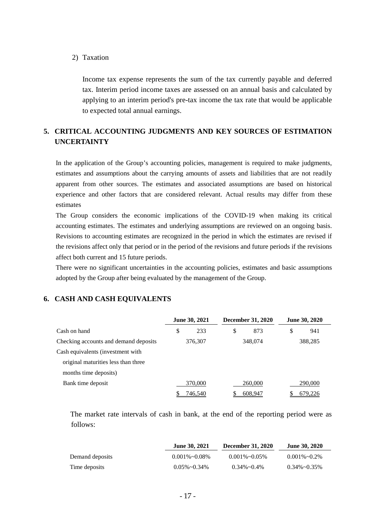#### 2) Taxation

Income tax expense represents the sum of the tax currently payable and deferred tax. Interim period income taxes are assessed on an annual basis and calculated by applying to an interim period's pre-tax income the tax rate that would be applicable to expected total annual earnings.

# **5. CRITICAL ACCOUNTING JUDGMENTS AND KEY SOURCES OF ESTIMATION UNCERTAINTY**

In the application of the Group's accounting policies, management is required to make judgments, estimates and assumptions about the carrying amounts of assets and liabilities that are not readily apparent from other sources. The estimates and associated assumptions are based on historical experience and other factors that are considered relevant. Actual results may differ from these estimates

The Group considers the economic implications of the COVID-19 when making its critical accounting estimates. The estimates and underlying assumptions are reviewed on an ongoing basis. Revisions to accounting estimates are recognized in the period in which the estimates are revised if the revisions affect only that period or in the period of the revisions and future periods if the revisions affect both current and 15 future periods.

There were no significant uncertainties in the accounting policies, estimates and basic assumptions adopted by the Group after being evaluated by the management of the Group.

#### **6. CASH AND CASH EQUIVALENTS**

|                                       | <b>June 30, 2021</b> |         | <b>December 31, 2020</b> |         | <b>June 30, 2020</b> |
|---------------------------------------|----------------------|---------|--------------------------|---------|----------------------|
| Cash on hand                          | \$                   | 233     | \$                       | 873     | \$<br>941            |
| Checking accounts and demand deposits | 376,307              |         | 348,074                  |         | 388,285              |
| Cash equivalents (investment with     |                      |         |                          |         |                      |
| original maturities less than three   |                      |         |                          |         |                      |
| months time deposits)                 |                      |         |                          |         |                      |
| Bank time deposit                     |                      | 370,000 |                          | 260,000 | 290,000              |
|                                       |                      | 746,540 |                          | 608,947 | 679,226              |

The market rate intervals of cash in bank, at the end of the reporting period were as follows:

|                 | <b>June 30, 2021</b>  | <b>December 31, 2020</b> | <b>June 30, 2020</b> |
|-----------------|-----------------------|--------------------------|----------------------|
| Demand deposits | $0.001\% \sim 0.08\%$ | $0.001\% \sim 0.05\%$    | $0.001\% \sim 0.2\%$ |
| Time deposits   | $0.05\% \sim 0.34\%$  | $0.34\%$ ~ $0.4\%$       | $0.34\% \sim 0.35\%$ |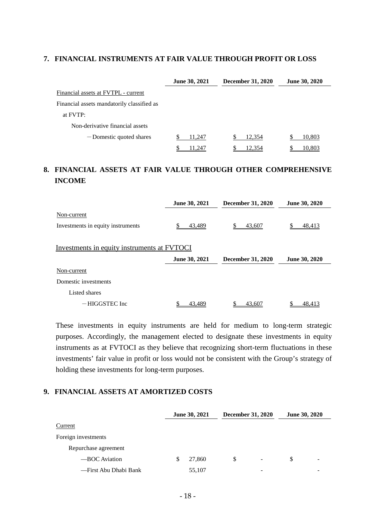## **7. FINANCIAL INSTRUMENTS AT FAIR VALUE THROUGH PROFIT OR LOSS**

|                                            | <b>June 30, 2021</b> | <b>December 31, 2020</b> | <b>June 30, 2020</b> |
|--------------------------------------------|----------------------|--------------------------|----------------------|
| Financial assets at FVTPL - current        |                      |                          |                      |
| Financial assets mandatorily classified as |                      |                          |                      |
| at FVTP:                                   |                      |                          |                      |
| Non-derivative financial assets            |                      |                          |                      |
| -Domestic quoted shares                    | 11,247               | 12,354                   | 10,803               |
|                                            | 11,247               | 12.354                   | 10,803               |

# **8. FINANCIAL ASSETS AT FAIR VALUE THROUGH OTHER COMPREHENSIVE INCOME**

|                                             | June 30, 2021 | <b>December 31, 2020</b> | <b>June 30, 2020</b> |
|---------------------------------------------|---------------|--------------------------|----------------------|
| Non-current                                 |               |                          |                      |
| Investments in equity instruments           | 43,489        | S<br>43,607              | 48,413               |
| Investments in equity instruments at FVTOCI |               |                          |                      |
|                                             | June 30, 2021 | <b>December 31, 2020</b> | <b>June 30, 2020</b> |
| Non-current                                 |               |                          |                      |
| Domestic investments                        |               |                          |                      |
|                                             |               |                          |                      |
| Listed shares                               |               |                          |                      |

These investments in equity instruments are held for medium to long-term strategic purposes. Accordingly, the management elected to designate these investments in equity instruments as at FVTOCI as they believe that recognizing short-term fluctuations in these investments' fair value in profit or loss would not be consistent with the Group's strategy of holding these investments for long-term purposes.

# **9. FINANCIAL ASSETS AT AMORTIZED COSTS**

|                       |   | June 30, 2021 | <b>December 31, 2020</b> |                          | June 30, 2020 |  |
|-----------------------|---|---------------|--------------------------|--------------------------|---------------|--|
| Current               |   |               |                          |                          |               |  |
| Foreign investments   |   |               |                          |                          |               |  |
| Repurchase agreement  |   |               |                          |                          |               |  |
| -BOC Aviation         | S | 27,860        | \$                       | $\overline{\phantom{a}}$ | S             |  |
| —First Abu Dhabi Bank |   | 55,107        |                          |                          |               |  |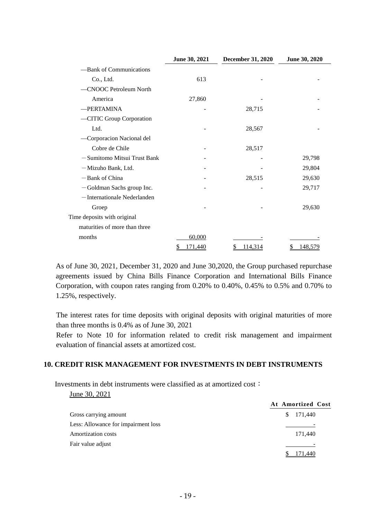|                               | June 30, 2021 | December 31, 2020 | June 30, 2020 |
|-------------------------------|---------------|-------------------|---------------|
| -Bank of Communications       |               |                   |               |
| Co., Ltd.                     | 613           |                   |               |
| -CNOOC Petroleum North        |               |                   |               |
| America                       | 27,860        |                   |               |
| -PERTAMINA                    |               | 28,715            |               |
| -CITIC Group Corporation      |               |                   |               |
| Ltd.                          |               | 28,567            |               |
| -Corporacion Nacional del     |               |                   |               |
| Cobre de Chile                |               | 28,517            |               |
| - Sumitomo Mitsui Trust Bank  |               |                   | 29,798        |
| -Mizuho Bank, Ltd.            |               |                   | 29,804        |
| -Bank of China                |               | 28,515            | 29,630        |
| -Goldman Sachs group Inc.     |               |                   | 29,717        |
| -Internationale Nederlanden   |               |                   |               |
| Groep                         |               |                   | 29,630        |
| Time deposits with original   |               |                   |               |
| maturities of more than three |               |                   |               |
| months                        | 60,000        |                   |               |
|                               | 171,440       | 114,314           | 148,579       |

As of June 30, 2021, December 31, 2020 and June 30,2020, the Group purchased repurchase agreements issued by China Bills Finance Corporation and International Bills Finance Corporation, with coupon rates ranging from 0.20% to 0.40%, 0.45% to 0.5% and 0.70% to 1.25%, respectively.

The interest rates for time deposits with original deposits with original maturities of more than three months is 0.4% as of June 30, 2021

Refer to Note 10 for information related to credit risk management and impairment evaluation of financial assets at amortized cost.

#### **10. CREDIT RISK MANAGEMENT FOR INVESTMENTS IN DEBT INSTRUMENTS**

Investments in debt instruments were classified as at amortized cost: June 30, 2021

|                                     | At Amortized Cost |
|-------------------------------------|-------------------|
| Gross carrying amount               | 171,440<br>S.     |
| Less: Allowance for impairment loss |                   |
| Amortization costs                  | 171,440           |
| Fair value adjust                   |                   |
|                                     |                   |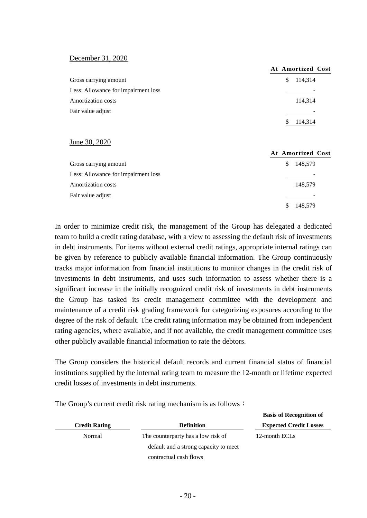#### December 31, 2020

|                                     | At Amortized Cost |
|-------------------------------------|-------------------|
| Gross carrying amount               | 114,314<br>S.     |
| Less: Allowance for impairment loss |                   |
| Amortization costs                  | 114,314           |
| Fair value adjust                   |                   |
|                                     | 114.314           |

#### June 30, 2020

|                                     | At Amortized Cost |
|-------------------------------------|-------------------|
| Gross carrying amount               | 148,579<br>S      |
| Less: Allowance for impairment loss |                   |
| Amortization costs                  | 148,579           |
| Fair value adjust                   |                   |
|                                     | 148.579           |

In order to minimize credit risk, the management of the Group has delegated a dedicated team to build a credit rating database, with a view to assessing the default risk of investments in debt instruments. For items without external credit ratings, appropriate internal ratings can be given by reference to publicly available financial information. The Group continuously tracks major information from financial institutions to monitor changes in the credit risk of investments in debt instruments, and uses such information to assess whether there is a significant increase in the initially recognized credit risk of investments in debt instruments the Group has tasked its credit management committee with the development and maintenance of a credit risk grading framework for categorizing exposures according to the degree of the risk of default. The credit rating information may be obtained from independent rating agencies, where available, and if not available, the credit management committee uses other publicly available financial information to rate the debtors.

The Group considers the historical default records and current financial status of financial institutions supplied by the internal rating team to measure the 12-month or lifetime expected credit losses of investments in debt instruments.

|                      |                                       | Dasis of <i>inecognition</i> of |
|----------------------|---------------------------------------|---------------------------------|
| <b>Credit Rating</b> | <b>Definition</b>                     | <b>Expected Credit Losses</b>   |
| Normal               | The counterparty has a low risk of    | 12-month ECLs                   |
|                      | default and a strong capacity to meet |                                 |
|                      | contractual cash flows                |                                 |

**Basis of Recognition of** 

The Group's current credit risk rating mechanism is as follows: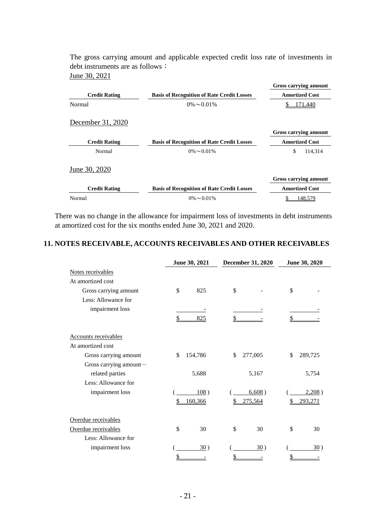The gross carrying amount and applicable expected credit loss rate of investments in debt instruments are as follows: June 30, 2021

|                      |                                                   | Gross carrying amount |
|----------------------|---------------------------------------------------|-----------------------|
| <b>Credit Rating</b> | <b>Basis of Recognition of Rate Credit Losses</b> | <b>Amortized Cost</b> |
| Normal               | $0\% \sim 0.01\%$                                 | 171,440               |
| December 31, 2020    |                                                   |                       |
|                      |                                                   | Gross carrying amount |
| <b>Credit Rating</b> | <b>Basis of Recognition of Rate Credit Losses</b> | <b>Amortized Cost</b> |
| Normal               | $0\% \sim 0.01\%$                                 | \$<br>114,314         |
| June 30, 2020        |                                                   |                       |
|                      |                                                   | Gross carrying amount |
| <b>Credit Rating</b> | <b>Basis of Recognition of Rate Credit Losses</b> | <b>Amortized Cost</b> |
| Normal               | $0\% \sim 0.01\%$                                 | 148,579               |

There was no change in the allowance for impairment loss of investments in debt instruments at amortized cost for the six months ended June 30, 2021 and 2020.

#### **11. NOTES RECEIVABLE, ACCOUNTS RECEIVABLES AND OTHER RECEIVABLES**

|                             | June 30, 2021 |         | December 31, 2020 |         | June 30, 2020 |         |
|-----------------------------|---------------|---------|-------------------|---------|---------------|---------|
| Notes receivables           |               |         |                   |         |               |         |
| At amortized cost           |               |         |                   |         |               |         |
| Gross carrying amount       | \$            | 825     | \$                |         | $\mathbb{S}$  |         |
| Less: Allowance for         |               |         |                   |         |               |         |
| impairment loss             |               |         |                   |         |               |         |
|                             | \$            | 825     | \$                |         | \$            |         |
| <b>Accounts receivables</b> |               |         |                   |         |               |         |
| At amortized cost           |               |         |                   |         |               |         |
| Gross carrying amount       | \$            | 154,786 | \$                | 277,005 | \$            | 289,725 |
| Gross carrying amount-      |               |         |                   |         |               |         |
| related parties             |               | 5,688   |                   | 5,167   |               | 5,754   |
| Less: Allowance for         |               |         |                   |         |               |         |
| impairment loss             |               | 108)    |                   | 6,608)  |               | 2,208)  |
|                             |               | 160,366 |                   | 275,564 |               | 293,271 |
| Overdue receivables         |               |         |                   |         |               |         |
| Overdue receivables         | \$            | 30      | \$                | 30      | \$            | 30      |
| Less: Allowance for         |               |         |                   |         |               |         |
| impairment loss             |               | 30)     |                   | 30)     |               | 30)     |
|                             | \$            |         | \$                |         | \$            |         |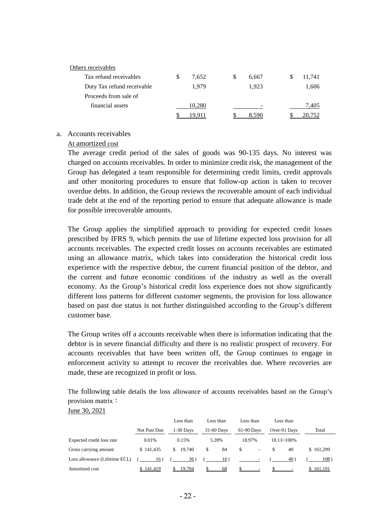| Others receivables         |   |        |   |       |        |
|----------------------------|---|--------|---|-------|--------|
| Tax refund receivables     | S | 7,652  | S | 6,667 | 11,741 |
| Duty Tax refund receivable |   | 1.979  |   | 1.923 | 1,606  |
| Proceeds from sale of      |   |        |   |       |        |
| financial assets           |   | 10.280 |   |       | 7.405  |
|                            |   |        |   | - 590 | 20.752 |

#### a. Accounts receivables

#### At amortized cost

The average credit period of the sales of goods was 90-135 days. No interest was charged on accounts receivables. In order to minimize credit risk, the management of the Group has delegated a team responsible for determining credit limits, credit approvals and other monitoring procedures to ensure that follow-up action is taken to recover overdue debts. In addition, the Group reviews the recoverable amount of each individual trade debt at the end of the reporting period to ensure that adequate allowance is made for possible irrecoverable amounts.

The Group applies the simplified approach to providing for expected credit losses prescribed by IFRS 9, which permits the use of lifetime expected loss provision for all accounts receivables. The expected credit losses on accounts receivables are estimated using an allowance matrix, which takes into consideration the historical credit loss experience with the respective debtor, the current financial position of the debtor, and the current and future economic conditions of the industry as well as the overall economy. As the Group's historical credit loss experience does not show significantly different loss patterns for different customer segments, the provision for loss allowance based on past due status is not further distinguished according to the Group's different customer base.

The Group writes off a accounts receivable when there is information indicating that the debtor is in severe financial difficulty and there is no realistic prospect of recovery. For accounts receivables that have been written off, the Group continues to engage in enforcement activity to attempt to recover the receivables due. Where recoveries are made, these are recognized in profit or loss.

The following table details the loss allowance of accounts receivables based on the Group's provision matrix:

| June 30, 202 |  |
|--------------|--|
|              |  |

|                               |              | Less than   | Less than  | Less than  | Less than            |           |
|-------------------------------|--------------|-------------|------------|------------|----------------------|-----------|
|                               | Not Past Due | $1-30$ Days | 31-60 Days | 61-90 Days | Over-91 Days         | Total     |
| Expected credit loss rate     | 0.01%        | 0.15%       | 5.28%      | 18.97%     | $18.13 \times 100\%$ |           |
| Gross carrying amount         | \$141.435    | \$19.740    | 84<br>S.   | \$<br>۰.   | 40                   | \$161,299 |
| Loss allowance (Lifetime ECL) | 16)          | 36)         | 16)        |            | 40)                  | 108)      |
| Amortized cost                | 141,419      | 19,704      | 68         |            |                      | 161,191   |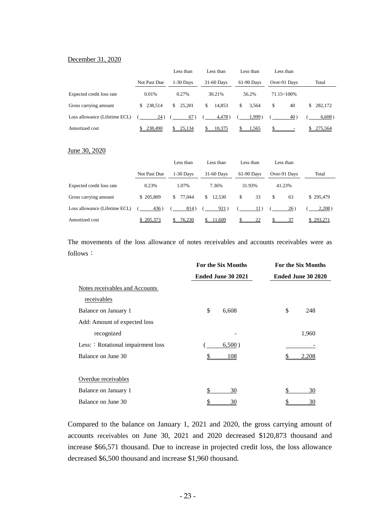#### December 31, 2020

|                               |              | Less than   | Less than    | Less than   | Less than            |           |
|-------------------------------|--------------|-------------|--------------|-------------|----------------------|-----------|
|                               | Not Past Due | $1-30$ Days | 31-60 Days   | 61-90 Days  | Over-91 Days         | Total     |
| Expected credit loss rate     | 0.01%        | 0.27%       | 30.21%       | 56.2%       | $71.15 \times 100\%$ |           |
| Gross carrying amount         | \$238.514    | \$25,201    | 14.853<br>S. | \$<br>3.564 | \$<br>40             | \$282,172 |
| Loss allowance (Lifetime ECL) | 24)          | 67)         | 4,478)       | $1.999$ )   | 40                   | 6,608)    |
| Amortized cost                | 238,490      | 25,134      | 10,375       | 1,565       |                      | 275,564   |

#### June 30, 2020

|                               |              | Less than   | Less than  | Less than  | Less than    |           |
|-------------------------------|--------------|-------------|------------|------------|--------------|-----------|
|                               | Not Past Due | $1-30$ Days | 31-60 Days | 61-90 Days | Over-91 Days | Total     |
| Expected credit loss rate     | 0.23%        | 1.07%       | 7.36%      | 31.93%     | 41.23%       |           |
| Gross carrying amount         | \$205,809    | \$77.044    | \$12.530   | \$<br>33   | 63<br>\$     | \$295,479 |
| Loss allowance (Lifetime ECL) | 436)         | 814)        | 921)       | 11)        | $26^{\circ}$ | 2,208)    |
| Amortized cost                | \$205,373    | 76,230      | 11,609     | 22         | 37           | \$293,271 |

The movements of the loss allowance of notes receivables and accounts receivables were as follows:

|                                    | For the Six Months | <b>For the Six Months</b> |
|------------------------------------|--------------------|---------------------------|
|                                    | Ended June 30 2021 | Ended June 30 2020        |
| Notes receivables and Accounts     |                    |                           |
| receivables                        |                    |                           |
| Balance on January 1               | \$<br>6,608        | \$<br>248                 |
| Add: Amount of expected loss       |                    |                           |
| recognized                         |                    | 1,960                     |
| Less: : Rotational impairment loss | 6,500)             |                           |
| Balance on June 30                 | 108                | 2,208                     |
|                                    |                    |                           |
| Overdue receivables                |                    |                           |
| Balance on January 1               | \$<br>30           | 30                        |
| Balance on June 30                 | <u>30</u>          | <u>30</u>                 |

Compared to the balance on January 1, 2021 and 2020, the gross carrying amount of accounts receivables on June 30, 2021 and 2020 decreased \$120,873 thousand and increase \$66,571 thousand. Due to increase in projected credit loss, the loss allowance decreased \$6,500 thousand and increase \$1,960 thousand.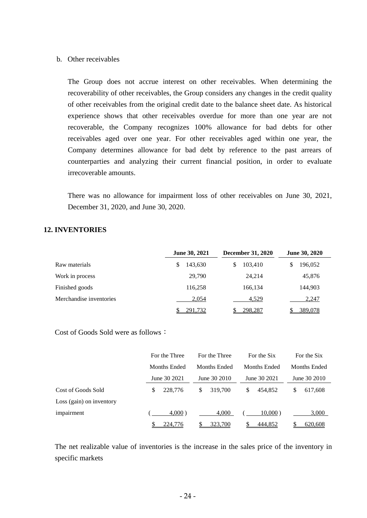#### b. Other receivables

The Group does not accrue interest on other receivables. When determining the recoverability of other receivables, the Group considers any changes in the credit quality of other receivables from the original credit date to the balance sheet date. As historical experience shows that other receivables overdue for more than one year are not recoverable, the Company recognizes 100% allowance for bad debts for other receivables aged over one year. For other receivables aged within one year, the Company determines allowance for bad debt by reference to the past arrears of counterparties and analyzing their current financial position, in order to evaluate irrecoverable amounts.

There was no allowance for impairment loss of other receivables on June 30, 2021, December 31, 2020, and June 30, 2020.

#### **12. INVENTORIES**

|                         | <b>June 30, 2021</b> | <b>December 31, 2020</b> | <b>June 30, 2020</b> |
|-------------------------|----------------------|--------------------------|----------------------|
| Raw materials           | 143,630<br>S         | 103,410<br>S             | 196,052<br>S         |
| Work in process         | 29,790               | 24,214                   | 45,876               |
| Finished goods          | 116,258              | 166,134                  | 144,903              |
| Merchandise inventories | 2,054                | 4,529                    | 2,247                |
|                         | 291,732              | 298,287                  | 389,078              |

Cost of Goods Sold were as follows:

|                          |   | For the Three | For the Three | For the Six   |   | For the Six  |
|--------------------------|---|---------------|---------------|---------------|---|--------------|
|                          |   | Months Ended  | Months Ended  | Months Ended  |   | Months Ended |
|                          |   | June 30 2021  | June 30 2010  | June 30 2021  |   | June 30 2010 |
| Cost of Goods Sold       | S | 228,776       | \$<br>319,700 | \$<br>454,852 | S | 617,608      |
| Loss (gain) on inventory |   |               |               |               |   |              |
| impairment               |   | $4,000$ )     | 4,000         | $10,000$ )    |   | 3,000        |
|                          |   | 224,776       | 323,700       | 444,852       |   | 620,608      |

The net realizable value of inventories is the increase in the sales price of the inventory in specific markets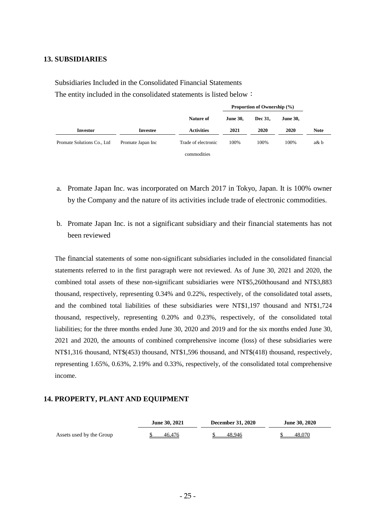#### **13. SUBSIDIARIES**

Subsidiaries Included in the Consolidated Financial Statements The entity included in the consolidated statements is listed below:

|                            |                   |                     | <b>Proportion of Ownership (%)</b> |         |                 |             |
|----------------------------|-------------------|---------------------|------------------------------------|---------|-----------------|-------------|
|                            |                   | Nature of           | <b>June 30.</b>                    | Dec 31. | <b>June 30.</b> |             |
| Investor                   | Investee          | <b>Activities</b>   | 2021                               | 2020    | 2020            | <b>Note</b> |
| Promate Solutions Co., Ltd | Promate Japan Inc | Trade of electronic | 100%                               | 100%    | 100%            | a& b        |
|                            |                   | commodities         |                                    |         |                 |             |

- a. Promate Japan Inc. was incorporated on March 2017 in Tokyo, Japan. It is 100% owner by the Company and the nature of its activities include trade of electronic commodities.
- b. Promate Japan Inc. is not a significant subsidiary and their financial statements has not been reviewed

The financial statements of some non-significant subsidiaries included in the consolidated financial statements referred to in the first paragraph were not reviewed. As of June 30, 2021 and 2020, the combined total assets of these non-significant subsidiaries were NT\$5,260thousand and NT\$3,883 thousand, respectively, representing 0.34% and 0.22%, respectively, of the consolidated total assets, and the combined total liabilities of these subsidiaries were NT\$1,197 thousand and NT\$1,724 thousand, respectively, representing 0.20% and 0.23%, respectively, of the consolidated total liabilities; for the three months ended June 30, 2020 and 2019 and for the six months ended June 30, 2021 and 2020, the amounts of combined comprehensive income (loss) of these subsidiaries were NT\$1,316 thousand, NT\$(453) thousand, NT\$1,596 thousand, and NT\$(418) thousand, respectively, representing 1.65%, 0.63%, 2.19% and 0.33%, respectively, of the consolidated total comprehensive income.

#### **14. PROPERTY, PLANT AND EQUIPMENT**

|                          | June 30, 2021 | <b>December 31, 2020</b> | June 30, 2020 |  |  |
|--------------------------|---------------|--------------------------|---------------|--|--|
| Assets used by the Group | 46,476        | 48.946                   | 48,070        |  |  |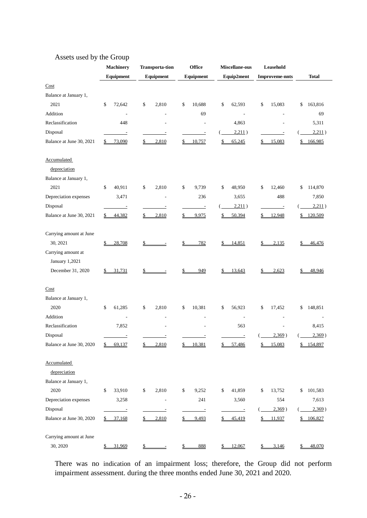|                                      | <b>Machinery</b>       | <b>Transporta-tion</b> | <b>Office</b>            | Miscellane-ous           | Leasehold                |               |
|--------------------------------------|------------------------|------------------------|--------------------------|--------------------------|--------------------------|---------------|
|                                      | Equipment              | Equipment              | Equipment                | Equip2ment               | <b>Improveme-nnts</b>    | <b>Total</b>  |
| Cost                                 |                        |                        |                          |                          |                          |               |
| Balance at January 1,                |                        |                        |                          |                          |                          |               |
| 2021                                 | \$<br>72,642           | \$<br>2,810            | \$<br>10,688             | \$<br>62,593             | \$<br>15,083             | \$<br>163,816 |
| Addition                             | L,                     |                        | 69                       |                          |                          | 69            |
| Reclassification                     | 448                    | Ē,                     | ÷,                       | 4,863                    |                          | 5,311         |
| Disposal                             | ÷                      | ÷                      |                          | 2,211)                   |                          | 2,211)        |
| Balance at June 30, 2021             | 73,090<br>\$           | 2,810<br>\$            | 10,757                   | 65,245<br>\$             | 15,083<br>\$             | \$<br>166,985 |
| Accumulated<br>depreciation          |                        |                        |                          |                          |                          |               |
| Balance at January 1,                |                        |                        |                          |                          |                          |               |
| 2021                                 | \$<br>40,911           | 2,810<br>\$            | \$<br>9,739              | \$<br>48,950             | \$<br>12,460             | \$<br>114,870 |
| Depreciation expenses                | 3,471                  | Ē,                     | 236                      | 3,655                    | 488                      | 7,850         |
| Disposal                             |                        |                        |                          | 2,211)                   | $\overline{\phantom{a}}$ | 2,211)        |
| Balance at June 30, 2021             | \$<br>44,382           | 2,810<br>\$            | 9,975                    | 50,394                   | 12,948<br>S              | 120,509<br>\$ |
| Carrying amount at June<br>30, 2021  | 28,708<br>\$           | \$                     | 782                      | 14,851                   | 2,135<br>\$              | 46,476        |
| Carrying amount at<br>January 1,2021 |                        |                        |                          |                          |                          |               |
| December 31, 2020                    | 31,731<br>\$           |                        | 949                      | 13,643                   | 2,623                    | 48,946<br>\$  |
| Cost                                 |                        |                        |                          |                          |                          |               |
| Balance at January 1,                |                        |                        |                          |                          |                          |               |
| 2020                                 | \$<br>61,285           | \$<br>2,810            | 10,381<br>\$             | \$<br>56,923             | \$<br>17,452             | \$<br>148,851 |
| Addition                             |                        | L,                     | $\overline{\phantom{a}}$ | ÷,                       |                          |               |
| Reclassification                     | 7,852                  |                        |                          | 563                      |                          | 8,415         |
| Disposal                             |                        |                        |                          |                          | 2,369)                   | 2,369)        |
| Balance at June 30, 2020             | \$<br>69,137           | 2,810<br>\$            | 10,381                   | 57,486                   | 15,083<br>\$             | \$<br>154,897 |
| Accumulated<br>depreciation          |                        |                        |                          |                          |                          |               |
| Balance at January 1,                |                        |                        |                          |                          |                          |               |
| 2020                                 | $\mathbb{S}$<br>33,910 | \$<br>2,810            | \$<br>9,252              | 41,859<br>\$             | 13,752<br>\$             | 101,583<br>\$ |
| Depreciation expenses                | 3,258                  | $\overline{a}$         | 241                      | 3,560                    | 554                      | 7,613         |
| Disposal                             | $\equiv$               | Ξ                      | $\overline{\phantom{a}}$ | $\overline{\phantom{a}}$ | 2,369)                   | 2,369)        |
| Balance at June 30, 2020             | 37,168<br>\$           | 2,810<br>\$            | 9,493                    | 45,419                   | 11,937<br>S              | 106,827<br>\$ |
| Carrying amount at June              |                        |                        |                          |                          |                          |               |
| 30, 2020                             | 31,969<br>\$           | \$                     | 888                      | 12,067                   | 3,146<br>S               | 48,070<br>\$  |

# Assets used by the Group

There was no indication of an impairment loss; therefore, the Group did not perform impairment assessment. during the three months ended June 30, 2021 and 2020.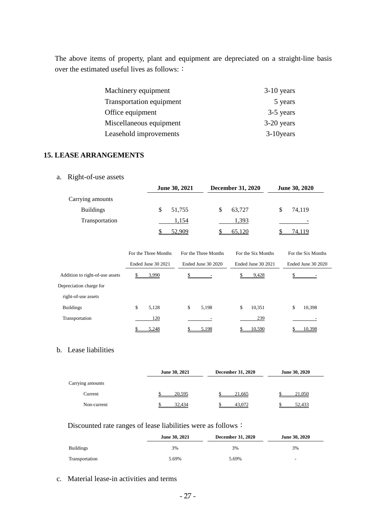The above items of property, plant and equipment are depreciated on a straight-line basis over the estimated useful lives as follows: :

| Machinery equipment      | $3-10$ years |
|--------------------------|--------------|
| Transportation equipment | 5 years      |
| Office equipment         | 3-5 years    |
| Miscellaneous equipment  | $3-20$ years |
| Leasehold improvements   | $3-10$ years |

# **15. LEASE ARRANGEMENTS**

# a. Right-of-use assets

|                  | <b>June 30, 2021</b> | <b>December 31, 2020</b> | <b>June 30, 2020</b> |
|------------------|----------------------|--------------------------|----------------------|
| Carrying amounts |                      |                          |                      |
| <b>Buildings</b> | 51,755               | 63,727<br>S              | 74.119               |
| Transportation   | 1.154                | 1,393                    |                      |
|                  | 52,909               | 65,120                   | 74,119               |

|                                 | For the Three Months | For the Three Months | For the Six Months | For the Six Months |
|---------------------------------|----------------------|----------------------|--------------------|--------------------|
|                                 | Ended June 30 2021   | Ended June 30 2020   | Ended June 30 2021 | Ended June 30 2020 |
| Addition to right-of-use assets | 3,990                |                      | 9,428              |                    |
| Depreciation charge for         |                      |                      |                    |                    |
| right-of-use assets             |                      |                      |                    |                    |
| <b>Buildings</b>                | \$<br>5.128          | \$<br>5,198          | \$<br>10,351       | \$<br>10,398       |
| Transportation                  | 120                  |                      | 239                |                    |
|                                 | 5,248                | 5,198                | 10,590             | 10,398             |

# b. Lease liabilities

|                  | June 30, 2021 | <b>December 31, 2020</b> | June 30, 2020 |
|------------------|---------------|--------------------------|---------------|
| Carrying amounts |               |                          |               |
| Current          | 20,595        | 21,665                   | 21,050        |
| Non-current      | 32.434        | 43,072                   | 52.433        |

# Discounted rate ranges of lease liabilities were as follows:

|                  | June 30, 2021 | <b>December 31, 2020</b> | June 30, 2020            |
|------------------|---------------|--------------------------|--------------------------|
| <b>Buildings</b> | 3%            | 3%                       | 3%                       |
| Transportation   | 5.69%         | 5.69%                    | $\overline{\phantom{a}}$ |

## c. Material lease-in activities and terms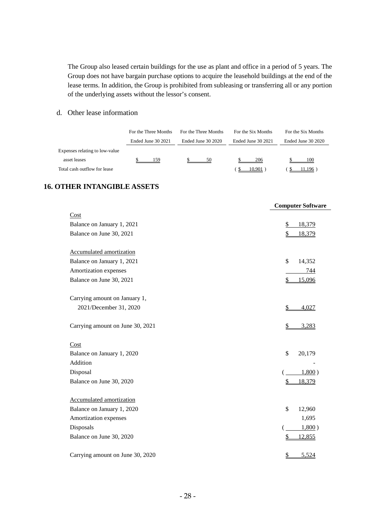The Group also leased certain buildings for the use as plant and office in a period of 5 years. The Group does not have bargain purchase options to acquire the leasehold buildings at the end of the lease terms. In addition, the Group is prohibited from subleasing or transferring all or any portion of the underlying assets without the lessor's consent.

d. Other lease information

|                                | For the Three Months | For the Three Months | For the Six Months | For the Six Months |
|--------------------------------|----------------------|----------------------|--------------------|--------------------|
|                                | Ended June 30 2021   | Ended June 30 2020   | Ended June 30 2021 | Ended June 30 2020 |
| Expenses relating to low-value |                      |                      |                    |                    |
| asset leases                   | 159                  | 50                   | 206                | 100                |
| Total cash outflow for lease   |                      |                      | 10.901             | 1,196              |

#### **16. OTHER INTANGIBLE ASSETS**

|                                  | <b>Computer Software</b> |
|----------------------------------|--------------------------|
| Cost                             |                          |
| Balance on January 1, 2021       | $\frac{1}{2}$<br>18,379  |
| Balance on June 30, 2021         | \$<br>18,379             |
| <b>Accumulated amortization</b>  |                          |
| Balance on January 1, 2021       | \$<br>14,352             |
| Amortization expenses            | 744                      |
| Balance on June 30, 2021         | 15,096<br>\$             |
| Carrying amount on January 1,    |                          |
| 2021/December 31, 2020           | \$<br>4,027              |
| Carrying amount on June 30, 2021 | \$<br>3,283              |
| Cost                             |                          |
| Balance on January 1, 2020       | \$<br>20,179             |
| Addition                         |                          |
| Disposal                         | 1,800)                   |
| Balance on June 30, 2020         | 18,379<br>\$             |
| Accumulated amortization         |                          |
| Balance on January 1, 2020       | \$<br>12,960             |
| Amortization expenses            | 1,695                    |
| Disposals                        | 1,800)                   |
| Balance on June 30, 2020         | 12,855<br>\$             |
| Carrying amount on June 30, 2020 | $\frac{1}{2}$<br>5,524   |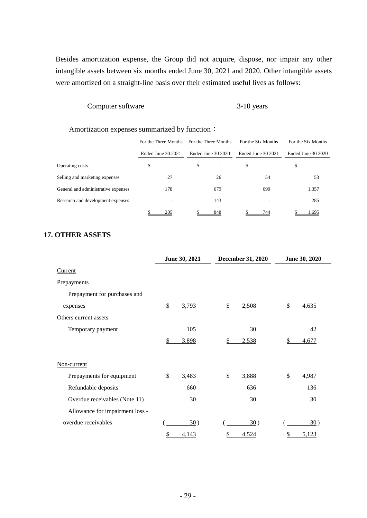Besides amortization expense, the Group did not acquire, dispose, nor impair any other intangible assets between six months ended June 30, 2021 and 2020. Other intangible assets were amortized on a straight-line basis over their estimated useful lives as follows:

# Computer software 3-10 years

#### Amortization expenses summarized by function:

|                                     | For the Three Months           | For the Three Months | For the Six Months | For the Six Months |
|-------------------------------------|--------------------------------|----------------------|--------------------|--------------------|
|                                     | Ended June 30 2021             | Ended June 30 2020   | Ended June 30 2021 | Ended June 30 2020 |
| Operating costs                     | \$<br>$\overline{\phantom{a}}$ | \$<br>٠              | \$                 | \$                 |
| Selling and marketing expenses      | 27                             | 26                   | 54                 | 53                 |
| General and administrative expenses | 178                            | 679                  | 690                | 1,357              |
| Research and development expenses   |                                | 143                  |                    | 285                |
|                                     | 205                            | 848                  | 744                | .695               |

# **17. OTHER ASSETS**

|                                 | June 30, 2021 | December 31, 2020 | June 30, 2020 |
|---------------------------------|---------------|-------------------|---------------|
| Current                         |               |                   |               |
| Prepayments                     |               |                   |               |
| Prepayment for purchases and    |               |                   |               |
| expenses                        | \$<br>3,793   | \$<br>2,508       | \$<br>4,635   |
| Others current assets           |               |                   |               |
| Temporary payment               | 105           | 30                | 42            |
|                                 | \$<br>3,898   | 2,538             | 4,677         |
| Non-current                     |               |                   |               |
| Prepayments for equipment       | \$<br>3,483   | \$<br>3,888       | \$<br>4,987   |
| Refundable deposits             | 660           | 636               | 136           |
| Overdue receivables (Note 11)   | 30            | 30                | 30            |
| Allowance for impairment loss - |               |                   |               |
| overdue receivables             | 30)           | 30)               | 30)           |
|                                 | \$<br>4,143   | \$<br>4,524       | \$<br>5,123   |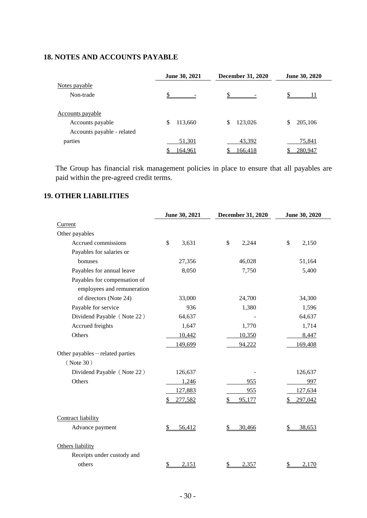# **18. NOTES AND ACCOUNTS PAYABLE**

|                            | June 30, 2021 | December 31, 2020 | <b>June 30, 2020</b> |
|----------------------------|---------------|-------------------|----------------------|
| Notes payable              |               |                   |                      |
| Non-trade                  |               | \$                |                      |
| Accounts payable           |               |                   |                      |
| Accounts payable           | \$<br>113,660 | \$<br>123,026     | 205,106<br>\$        |
| Accounts payable - related |               |                   |                      |
| parties                    | 51,301        | 43,392            | 75,841               |
|                            | 164,961       | <u>166,418</u>    | 280,947              |

The Group has financial risk management policies in place to ensure that all payables are paid within the pre-agreed credit terms.

# **19. OTHER LIABILITIES**

|                                | June 30, 2021                   | <b>December 31, 2020</b> | June 30, 2020 |
|--------------------------------|---------------------------------|--------------------------|---------------|
| Current                        |                                 |                          |               |
| Other payables                 |                                 |                          |               |
| Accrued commissions            | $\mathcal{S}$<br>3,631          | \$<br>2,244              | \$<br>2,150   |
| Payables for salaries or       |                                 |                          |               |
| bonuses                        | 27,356                          | 46,028                   | 51,164        |
| Payables for annual leave      | 8,050                           | 7,750                    | 5,400         |
| Payables for compensation of   |                                 |                          |               |
| employees and remuneration     |                                 |                          |               |
| of directors (Note 24)         | 33,000                          | 24,700                   | 34,300        |
| Payable for service            | 936                             | 1,380                    | 1,596         |
| Dividend Payable (Note 22)     | 64,637                          |                          | 64,637        |
| Accrued freights               | 1,647                           | 1,770                    | 1,714         |
| Others                         | 10,442                          | 10,350                   | 8,447         |
|                                | 149,699                         | 94,222                   | 169,408       |
| Other payables-related parties |                                 |                          |               |
| ( Note 30)                     |                                 |                          |               |
| Dividend Payable (Note 22)     | 126,637                         |                          | 126,637       |
| Others                         | 1,246                           | 955                      | 997           |
|                                | 127,883                         | 955                      | 127,634       |
|                                | 277,582<br>\$                   | 95,177                   | 297,042       |
| Contract liability             |                                 |                          |               |
| Advance payment                | $\frac{1}{2}$<br>56,412         | 30,466<br>\$             | 38,653        |
| Others liability               |                                 |                          |               |
| Receipts under custody and     |                                 |                          |               |
| others                         | $\mathbf{\mathcal{L}}$<br>2,151 | 2,357<br>$\frac{1}{2}$   | 2,170<br>\$   |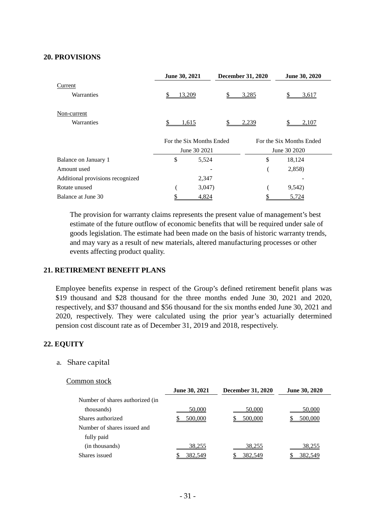#### **20. PROVISIONS**

|                                  | June 30, 2021            | <b>December 31, 2020</b> | June 30, 2020            |
|----------------------------------|--------------------------|--------------------------|--------------------------|
| Current                          |                          |                          |                          |
| Warranties                       | \$<br>13,209             | \$<br>3,285              | \$<br>3,617              |
| Non-current                      |                          |                          |                          |
| Warranties                       | 1,615                    | \$<br>2,239              | 2,107                    |
|                                  | For the Six Months Ended |                          | For the Six Months Ended |
|                                  | June 30 2021             |                          | June 30 2020             |
| Balance on January 1             | \$<br>5,524              | \$                       | 18,124                   |
| Amount used                      |                          |                          | 2,858)                   |
| Additional provisions recognized | 2,347                    |                          |                          |
| Rotate unused                    | 3,047                    |                          | 9,542)                   |
| Balance at June 30               | 4,824                    |                          | 5,724                    |

The provision for warranty claims represents the present value of management's best estimate of the future outflow of economic benefits that will be required under sale of goods legislation. The estimate had been made on the basis of historic warranty trends, and may vary as a result of new materials, altered manufacturing processes or other events affecting product quality.

#### **21. RETIREMENT BENEFIT PLANS**

Employee benefits expense in respect of the Group's defined retirement benefit plans was \$19 thousand and \$28 thousand for the three months ended June 30, 2021 and 2020, respectively, and \$37 thousand and \$56 thousand for the six months ended June 30, 2021 and 2020, respectively. They were calculated using the prior year's actuarially determined pension cost discount rate as of December 31, 2019 and 2018, respectively.

#### **22. EQUITY**

#### a. Share capital

#### Common stock

|                                 | June 30, 2021 | <b>December 31, 2020</b> | <b>June 30, 2020</b> |
|---------------------------------|---------------|--------------------------|----------------------|
| Number of shares authorized (in |               |                          |                      |
| thousands)                      | 50,000        | 50,000                   | 50,000               |
| Shares authorized               | 500,000       | 500,000                  | 500,000              |
| Number of shares issued and     |               |                          |                      |
| fully paid                      |               |                          |                      |
| (in thousands)                  | 38,255        | 38,255                   | 38,255               |
| Shares issued                   | 382,549       | 382.549                  | 382.549              |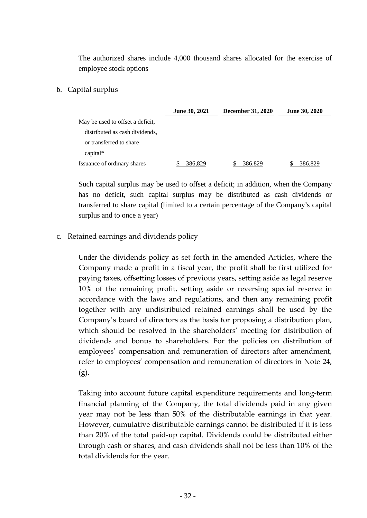The authorized shares include 4,000 thousand shares allocated for the exercise of employee stock options

# b. Capital surplus

|                                  | <b>June 30, 2021</b> | <b>December 31, 2020</b> | <b>June 30, 2020</b> |
|----------------------------------|----------------------|--------------------------|----------------------|
| May be used to offset a deficit, |                      |                          |                      |
| distributed as cash dividends,   |                      |                          |                      |
| or transferred to share          |                      |                          |                      |
| $capital*$                       |                      |                          |                      |
| Issuance of ordinary shares      | 386.829              | 386,829                  | 386.829              |

Such capital surplus may be used to offset a deficit; in addition, when the Company has no deficit, such capital surplus may be distributed as cash dividends or transferred to share capital (limited to a certain percentage of the Company's capital surplus and to once a year)

c. Retained earnings and dividends policy

Under the dividends policy as set forth in the amended Articles, where the Company made a profit in a fiscal year, the profit shall be first utilized for paying taxes, offsetting losses of previous years, setting aside as legal reserve 10% of the remaining profit, setting aside or reversing special reserve in accordance with the laws and regulations, and then any remaining profit together with any undistributed retained earnings shall be used by the Company's board of directors as the basis for proposing a distribution plan, which should be resolved in the shareholders' meeting for distribution of dividends and bonus to shareholders. For the policies on distribution of employees' compensation and remuneration of directors after amendment, refer to employees' compensation and remuneration of directors in Note 24,  $(g)$ .

Taking into account future capital expenditure requirements and long-term financial planning of the Company, the total dividends paid in any given year may not be less than 50% of the distributable earnings in that year. However, cumulative distributable earnings cannot be distributed if it is less than 20% of the total paid-up capital. Dividends could be distributed either through cash or shares, and cash dividends shall not be less than 10% of the total dividends for the year.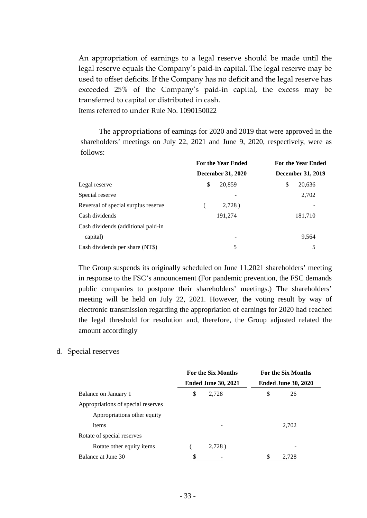An appropriation of earnings to a legal reserve should be made until the legal reserve equals the Company's paid-in capital. The legal reserve may be used to offset deficits. If the Company has no deficit and the legal reserve has exceeded 25% of the Company's paid-in capital, the excess may be transferred to capital or distributed in cash. Items referred to under Rule No. 1090150022

The appropriations of earnings for 2020 and 2019 that were approved in the shareholders' meetings on July 22, 2021 and June 9, 2020, respectively, were as follows:

|                                     | <b>For the Year Ended</b> | <b>For the Year Ended</b> |
|-------------------------------------|---------------------------|---------------------------|
|                                     | <b>December 31, 2020</b>  | <b>December 31, 2019</b>  |
| Legal reserve                       | \$<br>20,859              | \$<br>20,636              |
| Special reserve                     |                           | 2,702                     |
| Reversal of special surplus reserve | $2,728$ )                 |                           |
| Cash dividends                      | 191,274                   | 181,710                   |
| Cash dividends (additional paid-in  |                           |                           |
| capital)                            | -                         | 9,564                     |
| Cash dividends per share (NT\$)     | 5                         | 5                         |

The Group suspends its originally scheduled on June 11,2021 shareholders' meeting in response to the FSC's announcement (For pandemic prevention, the FSC demands public companies to postpone their shareholders' meetings.) The shareholders' meeting will be held on July 22, 2021. However, the voting result by way of electronic transmission regarding the appropriation of earnings for 2020 had reached the legal threshold for resolution and, therefore, the Group adjusted related the amount accordingly

### d. Special reserves

|                                    | <b>For the Six Months</b> |                            | <b>For the Six Months</b> |                            |  |
|------------------------------------|---------------------------|----------------------------|---------------------------|----------------------------|--|
|                                    |                           | <b>Ended June 30, 2021</b> |                           | <b>Ended June 30, 2020</b> |  |
| Balance on January 1               | \$                        | 2,728                      | \$                        | 26                         |  |
| Appropriations of special reserves |                           |                            |                           |                            |  |
| Appropriations other equity        |                           |                            |                           |                            |  |
| items                              |                           |                            |                           | 2.702                      |  |
| Rotate of special reserves         |                           |                            |                           |                            |  |
| Rotate other equity items          |                           | 2.728                      |                           |                            |  |
| Balance at June 30                 |                           |                            |                           |                            |  |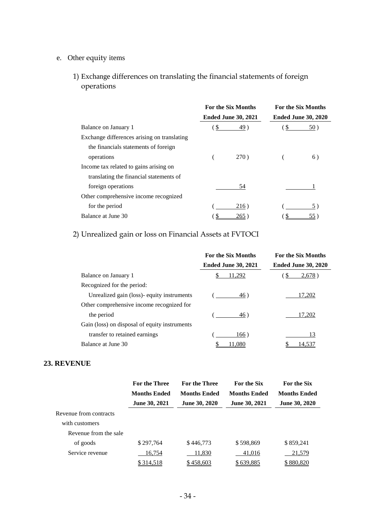# e. Other equity items

1) Exchange differences on translating the financial statements of foreign operations

|                                             | <b>For the Six Months</b> |                            | <b>For the Six Months</b>  |                 |
|---------------------------------------------|---------------------------|----------------------------|----------------------------|-----------------|
|                                             |                           | <b>Ended June 30, 2021</b> | <b>Ended June 30, 2020</b> |                 |
| Balance on January 1                        | S                         | 49)                        | `\$                        | 50)             |
| Exchange differences arising on translating |                           |                            |                            |                 |
| the financials statements of foreign        |                           |                            |                            |                 |
| operations                                  |                           | <b>270</b> )               |                            | 6)              |
| Income tax related to gains arising on      |                           |                            |                            |                 |
| translating the financial statements of     |                           |                            |                            |                 |
| foreign operations                          |                           | 54                         |                            |                 |
| Other comprehensive income recognized       |                           |                            |                            |                 |
| for the period                              |                           | 216)                       |                            | 5)              |
| Balance at June 30                          |                           | $265^{\circ}$              |                            | 55 <sup>2</sup> |

# 2) Unrealized gain or loss on Financial Assets at FVTOCI

|                                               | <b>For the Six Months</b>  | <b>For the Six Months</b>  |
|-----------------------------------------------|----------------------------|----------------------------|
|                                               | <b>Ended June 30, 2021</b> | <b>Ended June 30, 2020</b> |
| Balance on January 1                          | 11,292                     | \$.<br>2,678               |
| Recognized for the period:                    |                            |                            |
| Unrealized gain (loss) - equity instruments   | 46)                        | 17,202                     |
| Other comprehensive income recognized for     |                            |                            |
| the period                                    | 46)                        | 17.202                     |
| Gain (loss) on disposal of equity instruments |                            |                            |
| transfer to retained earnings                 | 166)                       | 13                         |
| Balance at June 30                            |                            | 14.53                      |

#### **23. REVENUE**

|                        | <b>For the Three</b> | <b>For the Three</b> | <b>For the Six</b>   | <b>For the Six</b>   |
|------------------------|----------------------|----------------------|----------------------|----------------------|
|                        | <b>Months Ended</b>  | <b>Months Ended</b>  | <b>Months Ended</b>  | <b>Months Ended</b>  |
|                        | <b>June 30, 2021</b> | <b>June 30, 2020</b> | <b>June 30, 2021</b> | <b>June 30, 2020</b> |
| Revenue from contracts |                      |                      |                      |                      |
| with customers         |                      |                      |                      |                      |
| Revenue from the sale  |                      |                      |                      |                      |
| of goods               | \$297,764            | \$446,773            | \$598,869            | \$859,241            |
| Service revenue        | 16,754               | 11,830               | 41,016               | 21,579               |
|                        | <u>\$314,518</u>     | \$458,603            | \$639,885            | \$880,820            |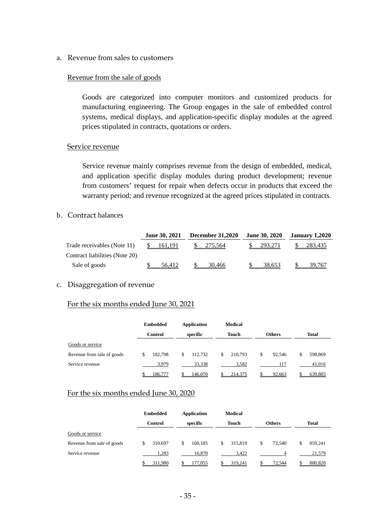a. Revenue from sales to customers

#### Revenue from the sale of goods

Goods are categorized into computer monitors and customized products for manufacturing engineering. The Group engages in the sale of embedded control systems, medical displays, and application-specific display modules at the agreed prices stipulated in contracts, quotations or orders.

#### Service revenue

Service revenue mainly comprises revenue from the design of embedded, medical, and application specific display modules during product development; revenue from customers' request for repair when defects occur in products that exceed the warranty period; and revenue recognized at the agreed prices stipulated in contracts.

## b. Contract balances

|                                | <b>June 30, 2021</b> | <b>December 31,2020</b> | <b>June 30, 2020</b> | <b>January 1,2020</b> |  |
|--------------------------------|----------------------|-------------------------|----------------------|-----------------------|--|
| Trade receivables (Note 11)    | 161,191              | 275.564                 | 293.271              | 283,435               |  |
| Contract liabilities (Note 20) |                      |                         |                      |                       |  |
| Sale of goods                  | 56.412               | 30.466                  | 38.653               | 39.767                |  |

#### c. Disaggregation of revenue

# For the six months ended June 30, 2021

|                            | <b>Embedded</b> | Application   | <b>Medical</b> |               |               |
|----------------------------|-----------------|---------------|----------------|---------------|---------------|
|                            | Control         | specific      | <b>Touch</b>   | <b>Others</b> | <b>Total</b>  |
| Goods or service           |                 |               |                |               |               |
| Revenue from sale of goods | 182,798<br>S    | 112.732<br>\$ | 210,793<br>\$  | \$<br>92.546  | 598,869<br>\$ |
| Service revenue            | 3,979           | 33,338        | 3,582          | 117           | 41,016        |
|                            | 186,777         | 146,070       | 214,375        | 92,663        | 639,885       |

#### For the six months ended June 30, 2020

|                            | <b>Embedded</b> | <b>Application</b> | <b>Medical</b> |               |               |
|----------------------------|-----------------|--------------------|----------------|---------------|---------------|
|                            | <b>Control</b>  | specific           | <b>Touch</b>   | <b>Others</b> | <b>Total</b>  |
| Goods or service           |                 |                    |                |               |               |
| Revenue from sale of goods | 310.697<br>\$   | 160.185<br>\$      | 315,819<br>\$  | \$<br>72,540  | 859,241<br>\$ |
| Service revenue            | 1.283           | 16.870             | 3.422          |               | 21,579        |
|                            | 311,980         | 177,055            | 319,241        | 72,544        | 880,820       |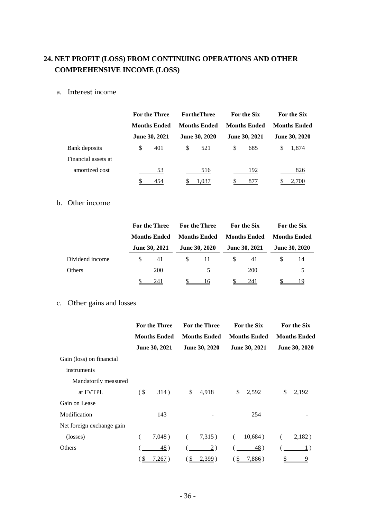# **24. NET PROFIT (LOSS) FROM CONTINUING OPERATIONS AND OTHER COMPREHENSIVE INCOME (LOSS)**

## a. Interest income

|                     |    | For the Three<br><b>Months Ended</b> |    | <b>FortheThree</b>   | <b>For the Six</b><br><b>Months Ended</b> |                      | For the Six<br><b>Months Ended</b> |               |
|---------------------|----|--------------------------------------|----|----------------------|-------------------------------------------|----------------------|------------------------------------|---------------|
|                     |    |                                      |    | <b>Months Ended</b>  |                                           |                      |                                    |               |
|                     |    | <b>June 30, 2021</b>                 |    | <b>June 30, 2020</b> |                                           | <b>June 30, 2021</b> |                                    | June 30, 2020 |
| Bank deposits       | \$ | 401                                  | \$ | 521                  | \$.                                       | 685                  | S                                  | 1.874         |
| Financial assets at |    |                                      |    |                      |                                           |                      |                                    |               |
| amortized cost      |    | 53                                   |    | 516                  |                                           | 192                  |                                    | 826           |
|                     |    | 454                                  |    | 1,037                |                                           | 877                  |                                    | 2,700         |

#### b. Other income

|                 |   | <b>For the Three</b><br><b>Months Ended</b> |               | <b>For the Three</b> |    | For the Six          |                     | For the Six          |  |
|-----------------|---|---------------------------------------------|---------------|----------------------|----|----------------------|---------------------|----------------------|--|
|                 |   |                                             |               | <b>Months Ended</b>  |    | <b>Months Ended</b>  | <b>Months Ended</b> |                      |  |
|                 |   | June 30, 2021                               |               | <b>June 30, 2020</b> |    | <b>June 30, 2021</b> |                     | <b>June 30, 2020</b> |  |
| Dividend income | S | 41                                          | <sup>\$</sup> | 11                   | S. | 41                   |                     | 14                   |  |
| Others          |   | 200                                         |               |                      |    | <b>200</b>           |                     |                      |  |
|                 |   | 241                                         |               | 16                   |    | 241                  |                     | ιū                   |  |

# c. Other gains and losses

|                           | <b>For the Three</b> |                     |    | <b>For the Three</b> | For the Six |                     | For the Six         |               |
|---------------------------|----------------------|---------------------|----|----------------------|-------------|---------------------|---------------------|---------------|
|                           |                      | <b>Months Ended</b> |    | <b>Months Ended</b>  |             | <b>Months Ended</b> | <b>Months Ended</b> |               |
|                           |                      | June 30, 2021       |    | June 30, 2020        |             | June 30, 2021       |                     | June 30, 2020 |
| Gain (loss) on financial  |                      |                     |    |                      |             |                     |                     |               |
| instruments               |                      |                     |    |                      |             |                     |                     |               |
| Mandatorily measured      |                      |                     |    |                      |             |                     |                     |               |
| at FVTPL                  | $($ \$               | 314)                | \$ | 4,918                | \$          | 2,592               | \$                  | 2,192         |
| Gain on Lease             |                      |                     |    |                      |             |                     |                     |               |
| Modification              |                      | 143                 |    |                      |             | 254                 |                     |               |
| Net foreign exchange gain |                      |                     |    |                      |             |                     |                     |               |
| (losses)                  |                      | 7,048)              | (  | 7,315)               | (           | 10,684)             |                     | 2,182)        |
| Others                    |                      | 48)                 |    | 2)                   |             | 48)                 |                     | 1)            |
|                           | \$                   | 267)                |    | $2,399$ )            |             | <u>7,886</u> )      |                     | 9             |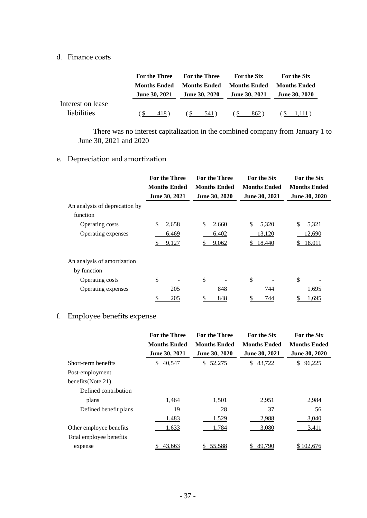#### d. Finance costs

|                                  | <b>For the Three</b> | <b>For the Three</b> | For the Six          | For the Six          |
|----------------------------------|----------------------|----------------------|----------------------|----------------------|
|                                  | <b>Months Ended</b>  | <b>Months Ended</b>  | <b>Months Ended</b>  | <b>Months Ended</b>  |
|                                  | <b>June 30, 2021</b> | <b>June 30, 2020</b> | <b>June 30, 2021</b> | <b>June 30, 2020</b> |
| Interest on lease<br>liabilities | 418)                 | $(S \t 541)$         | 6S<br>862)           | $\sqrt{5}$ 1,111)    |

There was no interest capitalization in the combined company from January 1 to June 30, 2021 and 2020

# e. Depreciation and amortization

|                               | <b>For the Three</b><br><b>Months Ended</b><br>June 30, 2021 | <b>For the Three</b><br><b>Months Ended</b><br>June 30, 2020 | For the Six<br><b>Months Ended</b><br>June 30, 2021 | For the Six<br><b>Months Ended</b><br>June 30, 2020 |
|-------------------------------|--------------------------------------------------------------|--------------------------------------------------------------|-----------------------------------------------------|-----------------------------------------------------|
| An analysis of deprecation by |                                                              |                                                              |                                                     |                                                     |
| function                      |                                                              |                                                              |                                                     |                                                     |
| Operating costs               | \$<br>2,658                                                  | \$<br>2,660                                                  | \$<br>5,320                                         | \$<br>5,321                                         |
| Operating expenses            | 6,469                                                        | 6,402                                                        | 13,120                                              | <u>12,690</u>                                       |
|                               | 9,127                                                        | 9,062                                                        | 18,440                                              | 18,011                                              |
| An analysis of amortization   |                                                              |                                                              |                                                     |                                                     |
| by function                   |                                                              |                                                              |                                                     |                                                     |
| Operating costs               | \$                                                           | \$                                                           | \$                                                  | \$                                                  |
| Operating expenses            | 205                                                          | 848                                                          | 744                                                 | 1,695                                               |
|                               | 205                                                          | 848                                                          | 744                                                 | 1,695                                               |

# f. Employee benefits expense

|                         | <b>For the Three</b> | <b>For the Three</b> | <b>For the Six</b>  | For the Six          |
|-------------------------|----------------------|----------------------|---------------------|----------------------|
|                         | <b>Months Ended</b>  | <b>Months Ended</b>  | <b>Months Ended</b> | <b>Months Ended</b>  |
|                         | <b>June 30, 2021</b> | <b>June 30, 2020</b> | June 30, 2021       | <b>June 30, 2020</b> |
| Short-term benefits     | 40,547<br>S.         | 52,275<br>S.         | 83,722<br>S.        | 96,225<br>S.         |
| Post-employment         |                      |                      |                     |                      |
| benefits(Note 21)       |                      |                      |                     |                      |
| Defined contribution    |                      |                      |                     |                      |
| plans                   | 1,464                | 1,501                | 2,951               | 2,984                |
| Defined benefit plans   | 19                   | 28                   | 37                  | 56                   |
|                         | 1,483                | 1,529                | 2,988               | 3,040                |
| Other employee benefits | 1,633                | 1,784                | 3,080               | 3,411                |
| Total employee benefits |                      |                      |                     |                      |
| expense                 | 43,663               | 55,588               | \$<br>89,790        | \$102,676            |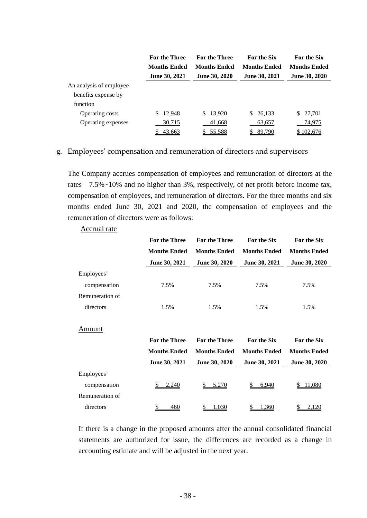|                         | <b>For the Three</b> | <b>For the Three</b> | <b>For the Six</b>   | <b>For the Six</b>  |  |
|-------------------------|----------------------|----------------------|----------------------|---------------------|--|
|                         | <b>Months Ended</b>  | <b>Months Ended</b>  | <b>Months Ended</b>  | <b>Months Ended</b> |  |
|                         | <b>June 30, 2021</b> | <b>June 30, 2020</b> | <b>June 30, 2021</b> | June 30, 2020       |  |
| An analysis of employee |                      |                      |                      |                     |  |
| benefits expense by     |                      |                      |                      |                     |  |
| function                |                      |                      |                      |                     |  |
| Operating costs         | 12,948<br>\$.        | \$13,920             | \$26,133             | 27,701<br>S.        |  |
| Operating expenses      | 30,715               | 41,668               | 63,657               | 74,975              |  |
|                         | 43,663               | \$55,588             | 89,790               | \$102,676           |  |

### g. Employees' compensation and remuneration of directors and supervisors

Accrual rate

The Company accrues compensation of employees and remuneration of directors at the rates 7.5%~10% and no higher than 3%, respectively, of net profit before income tax, compensation of employees, and remuneration of directors. For the three months and six months ended June 30, 2021 and 2020, the compensation of employees and the remuneration of directors were as follows:

|                 | For the Three       | For the Three       | For the Six         | For the Six         |
|-----------------|---------------------|---------------------|---------------------|---------------------|
|                 | <b>Months Ended</b> | <b>Months Ended</b> | <b>Months Ended</b> | <b>Months Ended</b> |
|                 | June 30, 2021       | June 30, 2020       | June 30, 2021       | June 30, 2020       |
| Employees'      |                     |                     |                     |                     |
| compensation    | 7.5%                | 7.5%                | 7.5%                | 7.5%                |
| Remuneration of |                     |                     |                     |                     |
| directors       | 1.5%                | 1.5%                | 1.5%                | 1.5%                |
| Amount          |                     |                     |                     |                     |
|                 | For the Three       | For the Three       | For the Six         | For the Six         |
|                 | <b>Months Ended</b> | <b>Months Ended</b> | <b>Months Ended</b> | <b>Months Ended</b> |
|                 | June 30, 2021       | June 30, 2020       | June 30, 2021       | June 30, 2020       |
| Employees'      |                     |                     |                     |                     |
| compensation    | 2,240<br>S          | 5,270<br>S          | 6,940<br>\$         | <u>11,080</u><br>S  |
| Remuneration of |                     |                     |                     |                     |
| directors       | \$<br>460           | \$<br><u>1,030</u>  | \$<br>1,360         | \$<br>2,120         |

If there is a change in the proposed amounts after the annual consolidated financial statements are authorized for issue, the differences are recorded as a change in accounting estimate and will be adjusted in the next year.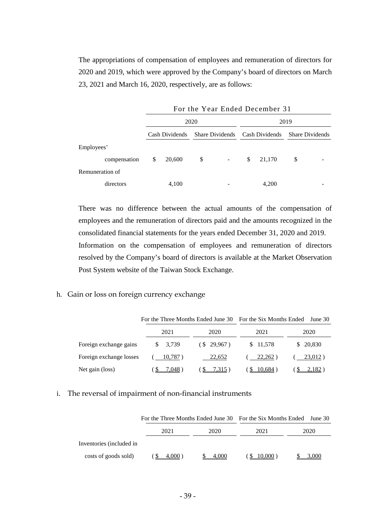The appropriations of compensation of employees and remuneration of directors for 2020 and 2019, which were approved by the Company's board of directors on March 23, 2021 and March 16, 2020, respectively, are as follows:

|                 | For the Year Ended December 31 |                |    |                |      |                                                |    |  |
|-----------------|--------------------------------|----------------|----|----------------|------|------------------------------------------------|----|--|
|                 |                                | 2020           |    |                | 2019 |                                                |    |  |
|                 |                                | Cash Dividends |    |                |      | Share Dividends Cash Dividends Share Dividends |    |  |
| Employees'      |                                |                |    |                |      |                                                |    |  |
| compensation    | \$                             | 20,600         | \$ | $\blacksquare$ | \$   | 21,170                                         | \$ |  |
| Remuneration of |                                |                |    |                |      |                                                |    |  |
| directors       |                                | 4,100          |    |                |      | 4,200                                          |    |  |

There was no difference between the actual amounts of the compensation of employees and the remuneration of directors paid and the amounts recognized in the consolidated financial statements for the years ended December 31, 2020 and 2019. Information on the compensation of employees and remuneration of directors resolved by the Company's board of directors is available at the Market Observation Post System website of the Taiwan Stock Exchange.

# h. Gain or loss on foreign currency exchange

|                         | For the Three Months Ended June 30 |            | For the Six Months Ended | June $301$ |
|-------------------------|------------------------------------|------------|--------------------------|------------|
|                         | 2021                               | 2020       | 2021                     | 2020       |
| Foreign exchange gains  | 3,739<br>S.                        | (S 29,967) | \$ 11,578                | \$ 20,830  |
| Foreign exchange losses | 10,787)                            | 22,652     | 22,262)                  | 23,012)    |
| Net gain (loss)         | 7.048)                             | 7,315)     | 10.684)                  | 2,182      |

### i. The reversal of impairment of non-financial instruments

|                          | For the Three Months Ended June 30 For the Six Months Ended June 30 |       |            |       |
|--------------------------|---------------------------------------------------------------------|-------|------------|-------|
|                          | 2021                                                                | 2020  | 2021       | 2020  |
| Inventories (included in |                                                                     |       |            |       |
| costs of goods sold)     | 4.000                                                               | 4.000 | $10,000$ ) | 3.000 |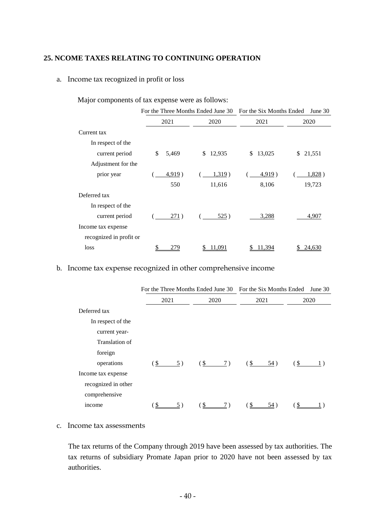# **25. NCOME TAXES RELATING TO CONTINUING OPERATION**

#### a. Income tax recognized in profit or loss

|                         | For the Three Months Ended June 30 |              | For the Six Months Ended | June $30$    |  |
|-------------------------|------------------------------------|--------------|--------------------------|--------------|--|
|                         | 2021                               | 2020         | 2021                     | 2020         |  |
| Current tax             |                                    |              |                          |              |  |
| In respect of the       |                                    |              |                          |              |  |
| current period          | \$<br>5,469                        | 12,935<br>\$ | 13,025<br>\$             | 21,551<br>\$ |  |
| Adjustment for the      |                                    |              |                          |              |  |
| prior year              | 4,919)                             | 1,319)       | 4,919)                   | 1,828)       |  |
|                         | 550                                | 11,616       | 8,106                    | 19,723       |  |
| Deferred tax            |                                    |              |                          |              |  |
| In respect of the       |                                    |              |                          |              |  |
| current period          | 271)                               | 525)         | 3,288                    | 4,907        |  |
| Income tax expense      |                                    |              |                          |              |  |
| recognized in profit or |                                    |              |                          |              |  |
| loss                    | 279                                | 11.091       | 11.394                   | 24,630       |  |

Major components of tax expense were as follows:

# b. Income tax expense recognized in other comprehensive income

|                     | For the Three Months Ended June 30 For the Six Months Ended June 30 |                                   |  |                 |      |                   |      |  |
|---------------------|---------------------------------------------------------------------|-----------------------------------|--|-----------------|------|-------------------|------|--|
|                     | 2021                                                                | 2020                              |  |                 | 2021 |                   | 2020 |  |
| Deferred tax        |                                                                     |                                   |  |                 |      |                   |      |  |
| In respect of the   |                                                                     |                                   |  |                 |      |                   |      |  |
| current year-       |                                                                     |                                   |  |                 |      |                   |      |  |
| Translation of      |                                                                     |                                   |  |                 |      |                   |      |  |
| foreign             |                                                                     |                                   |  |                 |      |                   |      |  |
| operations          | (S<br>5)                                                            | $(\frac{1}{2} \quad \frac{7}{2})$ |  | $\frac{\S}{\S}$ | 54)  | (S <sub>1</sub> ) |      |  |
| Income tax expense  |                                                                     |                                   |  |                 |      |                   |      |  |
| recognized in other |                                                                     |                                   |  |                 |      |                   |      |  |
| comprehensive       |                                                                     |                                   |  |                 |      |                   |      |  |
| income              |                                                                     |                                   |  |                 | 54)  |                   |      |  |

#### c. Income tax assessments

The tax returns of the Company through 2019 have been assessed by tax authorities. The tax returns of subsidiary Promate Japan prior to 2020 have not been assessed by tax authorities.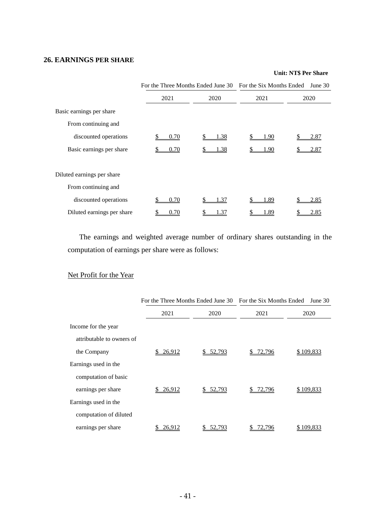## **26. EARNINGS PER SHARE**

#### **Unit: NT\$ Per Share**

|                            | For the Three Months Ended June 30 For the Six Months Ended |      |      | June 30 |
|----------------------------|-------------------------------------------------------------|------|------|---------|
|                            | 2021                                                        | 2020 | 2021 | 2020    |
| Basic earnings per share   |                                                             |      |      |         |
| From continuing and        |                                                             |      |      |         |
| discounted operations      | 0.70                                                        | 1.38 | 1.90 | 2.87    |
| Basic earnings per share   | 0.70                                                        | 1.38 | l.90 | 2.87    |
| Diluted earnings per share |                                                             |      |      |         |
| From continuing and        |                                                             |      |      |         |
| discounted operations      | 0.70                                                        | 1.37 | 1.89 | 2.85    |
| Diluted earnings per share | 0.70                                                        | 1.37 | 1.89 | 2.85    |

The earnings and weighted average number of ordinary shares outstanding in the computation of earnings per share were as follows:

# Net Profit for the Year

|                           | For the Three Months Ended June 30 For the Six Months Ended |           |        | June $30$ |
|---------------------------|-------------------------------------------------------------|-----------|--------|-----------|
|                           | 2021                                                        | 2020      | 2021   | 2020      |
| Income for the year       |                                                             |           |        |           |
| attributable to owners of |                                                             |           |        |           |
| the Company               | 26,912                                                      | \$ 52,793 | 72,796 | \$109,833 |
| Earnings used in the      |                                                             |           |        |           |
| computation of basic      |                                                             |           |        |           |
| earnings per share        | 26,912                                                      | \$52.793  | 72,796 | \$109,833 |
| Earnings used in the      |                                                             |           |        |           |
| computation of diluted    |                                                             |           |        |           |
| earnings per share        | 26,912                                                      | 52,793    | 2.796  | \$109,833 |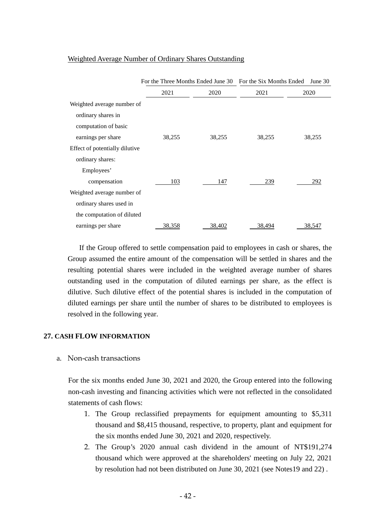|                                | For the Three Months Ended June 30 For the Six Months Ended |        |        | June 30 |
|--------------------------------|-------------------------------------------------------------|--------|--------|---------|
|                                | 2021                                                        | 2020   | 2021   | 2020    |
| Weighted average number of     |                                                             |        |        |         |
| ordinary shares in             |                                                             |        |        |         |
| computation of basic           |                                                             |        |        |         |
| earnings per share             | 38,255                                                      | 38,255 | 38,255 | 38,255  |
| Effect of potentially dilutive |                                                             |        |        |         |
| ordinary shares:               |                                                             |        |        |         |
| Employees'                     |                                                             |        |        |         |
| compensation                   | 103                                                         | 147    | 239    | 292     |
| Weighted average number of     |                                                             |        |        |         |
| ordinary shares used in        |                                                             |        |        |         |
| the computation of diluted     |                                                             |        |        |         |
| earnings per share             | 38,358                                                      | 38,402 | 38,494 | 38,547  |

#### Weighted Average Number of Ordinary Shares Outstanding

If the Group offered to settle compensation paid to employees in cash or shares, the Group assumed the entire amount of the compensation will be settled in shares and the resulting potential shares were included in the weighted average number of shares outstanding used in the computation of diluted earnings per share, as the effect is dilutive. Such dilutive effect of the potential shares is included in the computation of diluted earnings per share until the number of shares to be distributed to employees is resolved in the following year.

### **27. CASH FLOW INFORMATION**

a. Non-cash transactions

For the six months ended June 30, 2021 and 2020, the Group entered into the following non-cash investing and financing activities which were not reflected in the consolidated statements of cash flows:

- 1. The Group reclassified prepayments for equipment amounting to \$5,311 thousand and \$8,415 thousand, respective, to property, plant and equipment for the six months ended June 30, 2021 and 2020, respectively.
- 2. The Group's 2020 annual cash dividend in the amount of NT\$191,274 thousand which were approved at the shareholders' meeting on July 22, 2021 by resolution had not been distributed on June 30, 2021 (see Notes19 and 22) .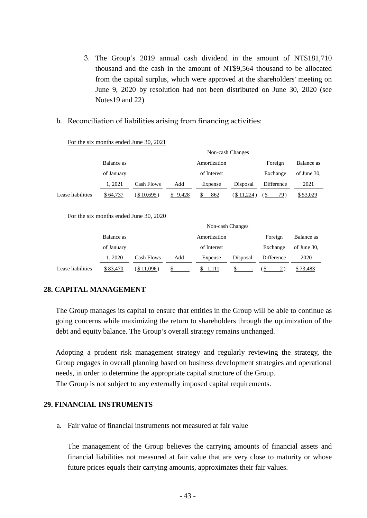- 3. The Group's 2019 annual cash dividend in the amount of NT\$181,710 thousand and the cash in the amount of NT\$9,564 thousand to be allocated from the capital surplus, which were approved at the shareholders' meeting on June 9, 2020 by resolution had not been distributed on June 30, 2020 (see Notes19 and 22)
- b. Reconciliation of liabilities arising from financing activities:

|                   |            |            | Non-cash Changes |              |             |            |             |  |
|-------------------|------------|------------|------------------|--------------|-------------|------------|-------------|--|
|                   | Balance as |            |                  | Amortization |             | Foreign    | Balance as  |  |
|                   | of January |            |                  | of Interest  |             | Exchange   | of June 30, |  |
|                   | 1.2021     | Cash Flows | Add              | Expense      | Disposal    | Difference | 2021        |  |
| Lease liabilities | \$64,737   | \$10,695)  | \$9,428          | 862          | $$11,224$ ) | 79         | \$53,029    |  |

For the six months ended June 30, 2021

For the six months ended June 30, 2020

|                   | Balance as |               |     | Amortization |          | Foreign    | Balance as  |
|-------------------|------------|---------------|-----|--------------|----------|------------|-------------|
|                   | of January |               |     | of Interest  |          | Exchange   | of June 30, |
|                   | 1.2020     | Cash Flows    | Add | Expense      | Disposal | Difference | 2020        |
| Lease liabilities | \$83,470   | $($ \$11,096) |     | \$ 1,111     |          |            | \$73,483    |

# **28. CAPITAL MANAGEMENT**

The Group manages its capital to ensure that entities in the Group will be able to continue as going concerns while maximizing the return to shareholders through the optimization of the debt and equity balance. The Group's overall strategy remains unchanged.

Adopting a prudent risk management strategy and regularly reviewing the strategy, the Group engages in overall planning based on business development strategies and operational needs, in order to determine the appropriate capital structure of the Group. The Group is not subject to any externally imposed capital requirements.

#### **29. FINANCIAL INSTRUMENTS**

a. Fair value of financial instruments not measured at fair value

The management of the Group believes the carrying amounts of financial assets and financial liabilities not measured at fair value that are very close to maturity or whose future prices equals their carrying amounts, approximates their fair values.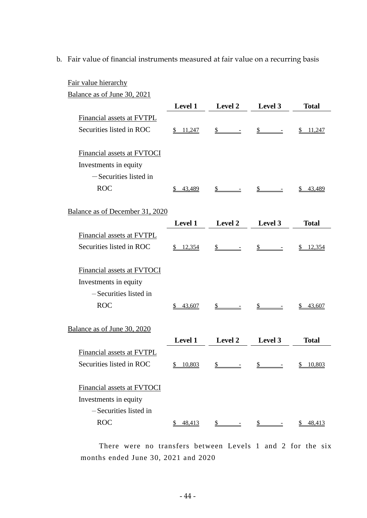b. Fair value of financial instruments measured at fair value on a recurring basis

| Fair value hierarchy            |                |                |                                     |                 |
|---------------------------------|----------------|----------------|-------------------------------------|-----------------|
| Balance as of June 30, 2021     |                |                |                                     |                 |
|                                 | <b>Level 1</b> | Level 2        | Level 3                             | <b>Total</b>    |
| Financial assets at FVTPL       |                |                |                                     |                 |
| Securities listed in ROC        | 11,247<br>SS.  | \$             | S.                                  | 11,247          |
| Financial assets at FVTOCI      |                |                |                                     |                 |
| Investments in equity           |                |                |                                     |                 |
| -Securities listed in           |                |                |                                     |                 |
| <b>ROC</b>                      | 43,489<br>S.   | $s$ – –        | S<br>$\equiv$                       | <u>\$43,489</u> |
| Balance as of December 31, 2020 |                |                |                                     |                 |
|                                 | <b>Level 1</b> | Level 2        | Level 3                             | <b>Total</b>    |
| Financial assets at FVTPL       |                |                |                                     |                 |
| Securities listed in ROC        | 12,354<br>S.   | $\frac{1}{2}$  | $\mathbb{S}$                        | 12,354          |
| Financial assets at FVTOCI      |                |                |                                     |                 |
| Investments in equity           |                |                |                                     |                 |
| -Securities listed in           |                |                |                                     |                 |
| <b>ROC</b>                      | \$43,607       | $s$ – –        | $\frac{\mathcal{S}}{\mathcal{S}}$ - | \$43,607        |
| Balance as of June 30, 2020     |                |                |                                     |                 |
|                                 | <b>Level 1</b> | <b>Level 2</b> | Level 3                             | <b>Total</b>    |
| Financial assets at FVTPL       |                |                |                                     |                 |
| Securities listed in ROC        | 10,803<br>S.   | \$             | \$                                  | 10,803          |
| Financial assets at FVTOCI      |                |                |                                     |                 |
| Investments in equity           |                |                |                                     |                 |
| -Securities listed in           |                |                |                                     |                 |
| <b>ROC</b>                      | 48,413<br>S.   | \$             | S.                                  | 48,413<br>S.    |

There were no transfers between Levels 1 and 2 for the six months ended June 30, 2021 and 2020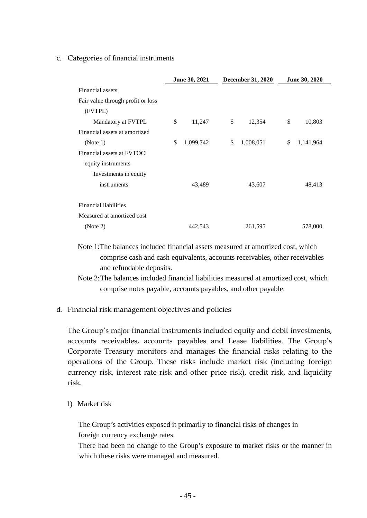#### c. Categories of financial instruments

|                                   | June 30, 2021   | December 31, 2020 |           | June 30, 2020 |           |
|-----------------------------------|-----------------|-------------------|-----------|---------------|-----------|
| Financial assets                  |                 |                   |           |               |           |
| Fair value through profit or loss |                 |                   |           |               |           |
| (FVTPL)                           |                 |                   |           |               |           |
| Mandatory at FVTPL                | \$<br>11,247    | \$                | 12,354    | \$            | 10,803    |
| Financial assets at amortized     |                 |                   |           |               |           |
| (Note 1)                          | \$<br>1,099,742 | \$                | 1,008,051 | \$            | 1,141,964 |
| Financial assets at FVTOCI        |                 |                   |           |               |           |
| equity instruments                |                 |                   |           |               |           |
| Investments in equity             |                 |                   |           |               |           |
| instruments                       | 43,489          |                   | 43,607    |               | 48,413    |
|                                   |                 |                   |           |               |           |
| Financial liabilities             |                 |                   |           |               |           |
| Measured at amortized cost        |                 |                   |           |               |           |
| (Note 2)                          | 442,543         |                   | 261,595   |               | 578,000   |

# Note 1:The balances included financial assets measured at amortized cost, which comprise cash and cash equivalents, accounts receivables, other receivables and refundable deposits.

- Note 2:The balances included financial liabilities measured at amortized cost, which comprise notes payable, accounts payables, and other payable.
- d. Financial risk management objectives and policies

The Group's major financial instruments included equity and debit investments, accounts receivables, accounts payables and Lease liabilities. The Group's Corporate Treasury monitors and manages the financial risks relating to the operations of the Group. These risks include market risk (including foreign currency risk, interest rate risk and other price risk), credit risk, and liquidity risk.

1) Market risk

The Group's activities exposed it primarily to financial risks of changes in foreign currency exchange rates.

There had been no change to the Group's exposure to market risks or the manner in which these risks were managed and measured.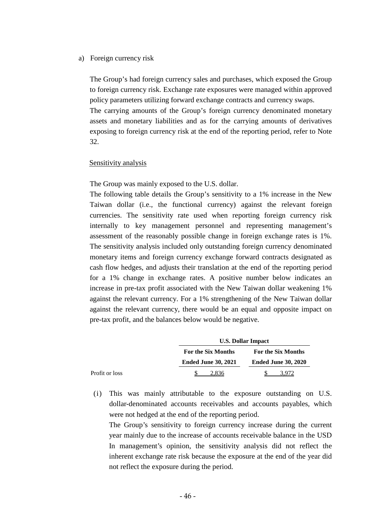#### a) Foreign currency risk

The Group's had foreign currency sales and purchases, which exposed the Group to foreign currency risk. Exchange rate exposures were managed within approved policy parameters utilizing forward exchange contracts and currency swaps. The carrying amounts of the Group's foreign currency denominated monetary assets and monetary liabilities and as for the carrying amounts of derivatives exposing to foreign currency risk at the end of the reporting period, refer to Note 32.

#### Sensitivity analysis

The Group was mainly exposed to the U.S. dollar.

The following table details the Group's sensitivity to a 1% increase in the New Taiwan dollar (i.e., the functional currency) against the relevant foreign currencies. The sensitivity rate used when reporting foreign currency risk internally to key management personnel and representing management's assessment of the reasonably possible change in foreign exchange rates is 1%. The sensitivity analysis included only outstanding foreign currency denominated monetary items and foreign currency exchange forward contracts designated as cash flow hedges, and adjusts their translation at the end of the reporting period for a 1% change in exchange rates. A positive number below indicates an increase in pre-tax profit associated with the New Taiwan dollar weakening 1% against the relevant currency. For a 1% strengthening of the New Taiwan dollar against the relevant currency, there would be an equal and opposite impact on pre-tax profit, and the balances below would be negative.

|                |                            | <b>U.S. Dollar Impact</b>  |
|----------------|----------------------------|----------------------------|
|                | For the Six Months         | <b>For the Six Months</b>  |
|                | <b>Ended June 30, 2021</b> | <b>Ended June 30, 2020</b> |
| Profit or loss | 2.836                      |                            |

(i) This was mainly attributable to the exposure outstanding on U.S. dollar-denominated accounts receivables and accounts payables, which were not hedged at the end of the reporting period.

The Group's sensitivity to foreign currency increase during the current year mainly due to the increase of accounts receivable balance in the USD In management's opinion, the sensitivity analysis did not reflect the inherent exchange rate risk because the exposure at the end of the year did not reflect the exposure during the period.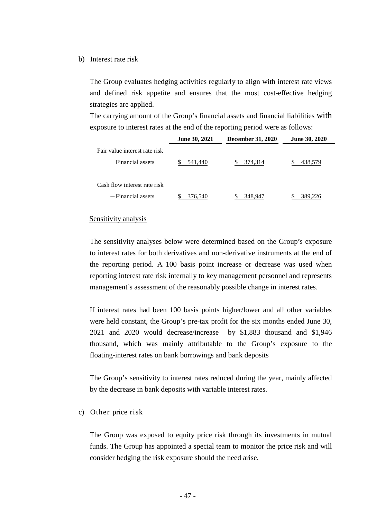#### b) Interest rate risk

The Group evaluates hedging activities regularly to align with interest rate views and defined risk appetite and ensures that the most cost-effective hedging strategies are applied.

The carrying amount of the Group's financial assets and financial liabilities with exposure to interest rates at the end of the reporting period were as follows:

|                                                      | <b>June 30, 2021</b> | <b>December 31, 2020</b> | <b>June 30, 2020</b> |
|------------------------------------------------------|----------------------|--------------------------|----------------------|
| Fair value interest rate risk<br>$-Financial$ assets | 541.440              | 374.314                  | 438.579              |
| Cash flow interest rate risk                         |                      |                          |                      |
| -Financial assets                                    | 376.540              | 348.947                  | 389.226              |

#### Sensitivity analysis

The sensitivity analyses below were determined based on the Group's exposure to interest rates for both derivatives and non-derivative instruments at the end of the reporting period. A 100 basis point increase or decrease was used when reporting interest rate risk internally to key management personnel and represents management's assessment of the reasonably possible change in interest rates.

If interest rates had been 100 basis points higher/lower and all other variables were held constant, the Group's pre-tax profit for the six months ended June 30, 2021 and 2020 would decrease/increase by \$1,883 thousand and \$1,946 thousand, which was mainly attributable to the Group's exposure to the floating-interest rates on bank borrowings and bank deposits

The Group's sensitivity to interest rates reduced during the year, mainly affected by the decrease in bank deposits with variable interest rates.

#### c) Other price risk

The Group was exposed to equity price risk through its investments in mutual funds. The Group has appointed a special team to monitor the price risk and will consider hedging the risk exposure should the need arise.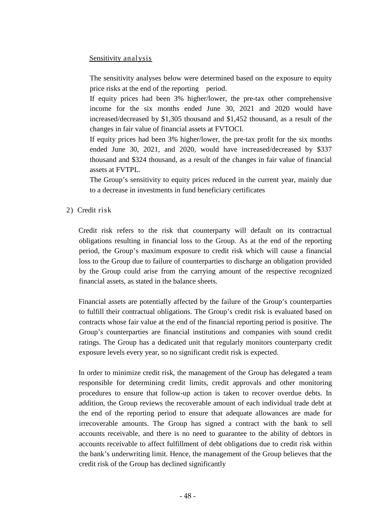# Sensitivity analysis

The sensitivity analyses below were determined based on the exposure to equity price risks at the end of the reporting period.

If equity prices had been 3% higher/lower, the pre-tax other comprehensive income for the six months ended June 30, 2021 and 2020 would have increased/decreased by \$1,305 thousand and \$1,452 thousand, as a result of the changes in fair value of financial assets at FVTOCI.

If equity prices had been 3% higher/lower, the pre-tax profit for the six months ended June 30, 2021, and 2020, would have increased/decreased by \$337 thousand and \$324 thousand, as a result of the changes in fair value of financial assets at FVTPL.

The Group's sensitivity to equity prices reduced in the current year, mainly due to a decrease in investments in fund beneficiary certificates

2) Credit risk

Credit risk refers to the risk that counterparty will default on its contractual obligations resulting in financial loss to the Group. As at the end of the reporting period, the Group's maximum exposure to credit risk which will cause a financial loss to the Group due to failure of counterparties to discharge an obligation provided by the Group could arise from the carrying amount of the respective recognized financial assets, as stated in the balance sheets.

Financial assets are potentially affected by the failure of the Group's counterparties to fulfill their contractual obligations. The Group's credit risk is evaluated based on contracts whose fair value at the end of the financial reporting period is positive. The Group's counterparties are financial institutions and companies with sound credit ratings. The Group has a dedicated unit that regularly monitors counterparty credit exposure levels every year, so no significant credit risk is expected.

In order to minimize credit risk, the management of the Group has delegated a team responsible for determining credit limits, credit approvals and other monitoring procedures to ensure that follow-up action is taken to recover overdue debts. In addition, the Group reviews the recoverable amount of each individual trade debt at the end of the reporting period to ensure that adequate allowances are made for irrecoverable amounts. The Group has signed a contract with the bank to sell accounts receivable, and there is no need to guarantee to the ability of debtors in accounts receivable to affect fulfillment of debt obligations due to credit risk within the bank's underwriting limit. Hence, the management of the Group believes that the credit risk of the Group has declined significantly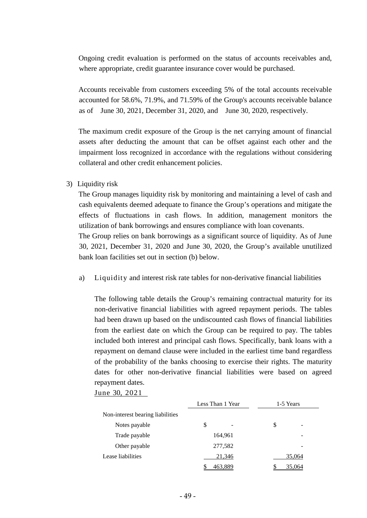Ongoing credit evaluation is performed on the status of accounts receivables and, where appropriate, credit guarantee insurance cover would be purchased.

Accounts receivable from customers exceeding 5% of the total accounts receivable accounted for 58.6%, 71.9%, and 71.59% of the Group's accounts receivable balance as of June 30, 2021, December 31, 2020, and June 30, 2020, respectively.

The maximum credit exposure of the Group is the net carrying amount of financial assets after deducting the amount that can be offset against each other and the impairment loss recognized in accordance with the regulations without considering collateral and other credit enhancement policies.

3) Liquidity risk

The Group manages liquidity risk by monitoring and maintaining a level of cash and cash equivalents deemed adequate to finance the Group's operations and mitigate the effects of fluctuations in cash flows. In addition, management monitors the utilization of bank borrowings and ensures compliance with loan covenants.

The Group relies on bank borrowings as a significant source of liquidity. As of June 30, 2021, December 31, 2020 and June 30, 2020, the Group's available unutilized bank loan facilities set out in section (b) below.

a) Liquidity and interest risk rate tables for non-derivative financial liabilities

The following table details the Group's remaining contractual maturity for its non-derivative financial liabilities with agreed repayment periods. The tables had been drawn up based on the undiscounted cash flows of financial liabilities from the earliest date on which the Group can be required to pay. The tables included both interest and principal cash flows. Specifically, bank loans with a repayment on demand clause were included in the earliest time band regardless of the probability of the banks choosing to exercise their rights. The maturity dates for other non-derivative financial liabilities were based on agreed repayment dates.

June 30, 2021

|                                  | Less Than 1 Year |         | 1-5 Years |        |
|----------------------------------|------------------|---------|-----------|--------|
| Non-interest bearing liabilities |                  |         |           |        |
| Notes payable                    | \$               |         | \$        | -      |
| Trade payable                    |                  | 164,961 |           |        |
| Other payable                    |                  | 277,582 |           |        |
| Lease liabilities                |                  | 21,346  |           | 35,064 |
|                                  |                  | 463,889 |           | 35,064 |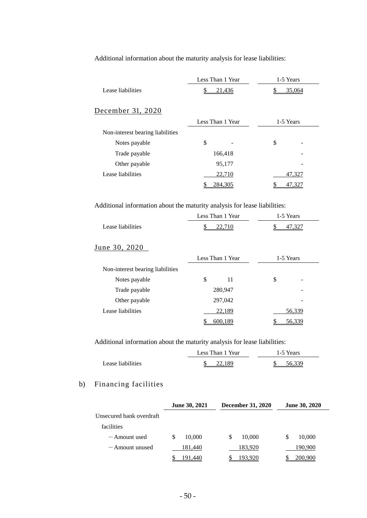Additional information about the maturity analysis for lease liabilities:

|                                  |    | Less Than 1 Year | 1-5 Years |        |
|----------------------------------|----|------------------|-----------|--------|
| Lease liabilities                | S  | 21,436           |           | 35,064 |
| December 31, 2020                |    |                  |           |        |
|                                  |    | Less Than 1 Year | 1-5 Years |        |
| Non-interest bearing liabilities |    |                  |           |        |
| Notes payable                    | \$ |                  | \$        |        |
| Trade payable                    |    | 166,418          |           |        |
| Other payable                    |    | 95,177           |           |        |
| Lease liabilities                |    | 22,710           |           | 47,327 |
|                                  |    | 284,305          |           | 47.327 |

Additional information about the maturity analysis for lease liabilities:

|                                  | Less Than 1 Year |         | 1-5 Years |        |
|----------------------------------|------------------|---------|-----------|--------|
| Lease liabilities                |                  | 22,710  |           | 47.327 |
| June 30, 2020                    |                  |         |           |        |
|                                  | Less Than 1 Year |         | 1-5 Years |        |
| Non-interest bearing liabilities |                  |         |           |        |
| Notes payable                    | \$               | 11      | \$        |        |
| Trade payable                    |                  | 280,947 |           |        |
| Other payable                    |                  | 297,042 |           |        |
| Lease liabilities                |                  | 22,189  |           | 56,339 |
|                                  |                  | 600,189 |           | 56,339 |

Additional information about the maturity analysis for lease liabilities:

|                   | Less Than 1 Year | 1-5 Years |
|-------------------|------------------|-----------|
| Lease liabilities | 22.189           | 56 339    |

# b) Financing facilities

|                          | June 30, 2021 | <b>December 31, 2020</b> | <b>June 30, 2020</b> |
|--------------------------|---------------|--------------------------|----------------------|
| Unsecured bank overdraft |               |                          |                      |
| facilities               |               |                          |                      |
| — Amount used            | 10,000<br>S   | 10,000<br>S              | S<br>10,000          |
| $-$ Amount unused        | 181,440       | 183,920                  | 190,900              |
|                          | 191,440       | 193.920                  | 200,900              |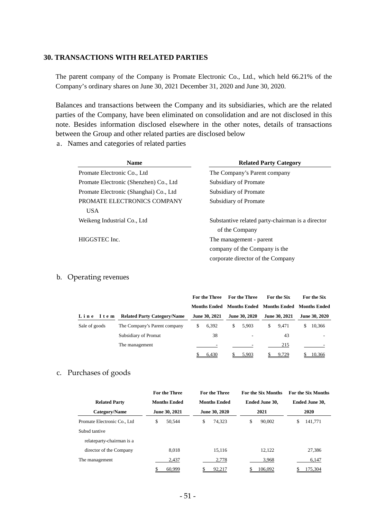#### **30. TRANSACTIONS WITH RELATED PARTIES**

The parent company of the Company is Promate Electronic Co., Ltd., which held 66.21% of the Company's ordinary shares on June 30, 2021 December 31, 2020 and June 30, 2020.

Balances and transactions between the Company and its subsidiaries, which are the related parties of the Company, have been eliminated on consolidation and are not disclosed in this note. Besides information disclosed elsewhere in the other notes, details of transactions between the Group and other related parties are disclosed below

a. Names and categories of related parties

| <b>Name</b>                            | <b>Related Party Category</b>                    |
|----------------------------------------|--------------------------------------------------|
| Promate Electronic Co., Ltd            | The Company's Parent company                     |
| Promate Electronic (Shenzhen) Co., Ltd | Subsidiary of Promate                            |
| Promate Electronic (Shanghai) Co., Ltd | Subsidiary of Promate                            |
| PROMATE ELECTRONICS COMPANY            | Subsidiary of Promate                            |
| <b>USA</b>                             |                                                  |
| Weikeng Industrial Co., Ltd            | Substantive related party-chairman is a director |
|                                        | of the Company                                   |
| HIGGSTEC Inc.                          | The management - parent                          |
|                                        | company of the Company is the                    |
|                                        | corporate director of the Company                |

#### b. Operating revenues

|               |                                    |   | For the Three |   | For the Three        |    | <b>For the Six</b> | For the Six                                         |
|---------------|------------------------------------|---|---------------|---|----------------------|----|--------------------|-----------------------------------------------------|
|               |                                    |   |               |   |                      |    |                    | Months Ended Months Ended Months Ended Months Ended |
| Line Item     | <b>Related Party Category/Name</b> |   | June 30, 2021 |   | <b>June 30, 2020</b> |    | June 30, 2021      | <b>June 30, 2020</b>                                |
| Sale of goods | The Company's Parent company       | S | 6,392         | S | 5.903                | S. | 9.471              | \$<br>10,366                                        |
|               | Subsidiary of Promat               |   | 38            |   |                      |    | 43                 |                                                     |
|               | The management                     |   |               |   |                      |    | 215                |                                                     |
|               |                                    |   | 6,430         |   | 5,903                |    | 9,729              | 10,366                                              |

#### c. Purchases of goods

|                              | <b>For the Three</b> | <b>For the Three</b><br><b>For the Six Months</b> |                | <b>For the Six Months</b> |  |  |
|------------------------------|----------------------|---------------------------------------------------|----------------|---------------------------|--|--|
| <b>Related Party</b>         | <b>Months Ended</b>  | <b>Months Ended</b>                               | Ended June 30, | <b>Ended June 30.</b>     |  |  |
| Category/Name                | June 30, 2021        | June 30, 2020                                     | 2021           | 2020                      |  |  |
| Promate Electronic Co., Ltd. | 50.544<br>\$         | \$<br>74.323                                      | \$<br>90,002   | 141.771                   |  |  |
| Subsd tantive                |                      |                                                   |                |                           |  |  |
| relateparty-chairman is a    |                      |                                                   |                |                           |  |  |
| director of the Company      | 8.018                | 15.116                                            | 12.122         | 27,386                    |  |  |
| The management               | 2.437                | 2,778                                             | 3,968          | 6,147                     |  |  |
|                              | 60,999               | 92,217                                            | 106,092        | 175,304                   |  |  |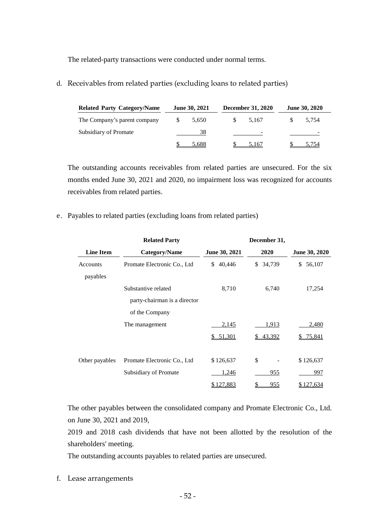The related-party transactions were conducted under normal terms.

d. Receivables from related parties (excluding loans to related parties)

| <b>Related Party Category/Name</b> | <b>June 30, 2021</b> |       | <b>December 31, 2020</b> |       | <b>June 30, 2020</b> |       |  |  |
|------------------------------------|----------------------|-------|--------------------------|-------|----------------------|-------|--|--|
| The Company's parent company       | <b>S</b>             | 5,650 |                          | 5.167 |                      | 5.754 |  |  |
| Subsidiary of Promate              |                      | 38    |                          | -     |                      |       |  |  |
|                                    |                      | 5.688 |                          | 5.167 |                      | 5.754 |  |  |

The outstanding accounts receivables from related parties are unsecured. For the six months ended June 30, 2021 and 2020, no impairment loss was recognized for accounts receivables from related parties.

e. Payables to related parties (excluding loans from related parties)

|                  | <b>Related Party</b>         |               | December 31,     |                      |
|------------------|------------------------------|---------------|------------------|----------------------|
| <b>Line Item</b> | Category/Name                | June 30, 2021 | 2020             | <b>June 30, 2020</b> |
| Accounts         | Promate Electronic Co., Ltd  | 40,446<br>\$  | 34,739<br>\$     | 56,107<br>\$         |
| payables         |                              |               |                  |                      |
|                  | Substantive related          | 8,710         | 6,740            | 17,254               |
|                  | party-chairman is a director |               |                  |                      |
|                  | of the Company               |               |                  |                      |
|                  | The management               | 2,145         | 1,913            | 2,480                |
|                  |                              | \$51,301      | 43,392<br>S.     | <u>75,841</u>        |
|                  |                              |               |                  |                      |
| Other payables   | Promate Electronic Co., Ltd  | \$126,637     | \$               | \$126,637            |
|                  | Subsidiary of Promate        | 1,246         | 955              | 997                  |
|                  |                              | \$127,883     | <u>955</u><br>\$ | \$127,634            |

The other payables between the consolidated company and Promate Electronic Co., Ltd. on June 30, 2021 and 2019,

2019 and 2018 cash dividends that have not been allotted by the resolution of the shareholders' meeting.

The outstanding accounts payables to related parties are unsecured.

f. Lease arrangements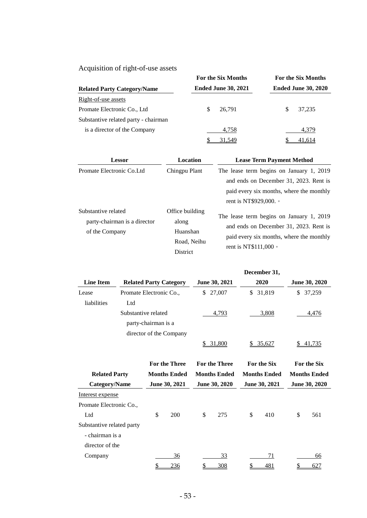Acquisition of right-of-use assets

| <i>requisition</i> or right or ase assets |                            |                            |  |  |  |
|-------------------------------------------|----------------------------|----------------------------|--|--|--|
|                                           | For the Six Months         | For the Six Months         |  |  |  |
| <b>Related Party Category/Name</b>        | <b>Ended June 30, 2021</b> | <b>Ended June 30, 2020</b> |  |  |  |
| Right-of-use assets                       |                            |                            |  |  |  |
| Promate Electronic Co., Ltd.              | 26.791<br>S                | 37.235<br>S                |  |  |  |
| Substantive related party - chairman      |                            |                            |  |  |  |
| is a director of the Company              | 4,758                      | 4,379                      |  |  |  |
|                                           | 31.549                     | 41,614                     |  |  |  |

| <b>Lessor</b>                                                         | Location                                                               | <b>Lease Term Payment Method</b>                                                                                                                              |
|-----------------------------------------------------------------------|------------------------------------------------------------------------|---------------------------------------------------------------------------------------------------------------------------------------------------------------|
| Promate Electronic Co. Ltd.                                           | Chingpu Plant                                                          | The lease term begins on January 1, 2019<br>and ends on December 31, 2023. Rent is<br>paid every six months, where the monthly<br>rent is NT\$929,000. •      |
| Substantive related<br>party-chairman is a director<br>of the Company | Office building<br>along<br>Huanshan<br>Road, Neihu<br><b>District</b> | The lease term begins on January 1, 2019<br>and ends on December 31, 2023. Rent is<br>paid every six months, where the monthly<br>rent is NT\$111,000 $\circ$ |

|                           |                         |                     |                               |                     |                      |                     | December 31,       |                     |                    |
|---------------------------|-------------------------|---------------------|-------------------------------|---------------------|----------------------|---------------------|--------------------|---------------------|--------------------|
| <b>Line Item</b>          |                         |                     | <b>Related Party Category</b> |                     | June 30, 2021        |                     | 2020               |                     | June 30, 2020      |
| Lease                     | Promate Electronic Co., |                     |                               | \$                  | 27,007               | \$                  | 31,819             | \$<br>37,259        |                    |
| liabilities               | Ltd                     |                     |                               |                     |                      |                     |                    |                     |                    |
|                           | Substantive related     | party-chairman is a |                               |                     | 4,793                |                     | 3,808              |                     | 4,476              |
|                           |                         |                     | director of the Company       | \$                  | 31,800               |                     | \$35,627           | S                   | 41,735             |
|                           |                         |                     | <b>For the Three</b>          |                     | <b>For the Three</b> |                     | <b>For the Six</b> |                     | <b>For the Six</b> |
| <b>Related Party</b>      |                         | <b>Months Ended</b> |                               | <b>Months Ended</b> |                      | <b>Months Ended</b> |                    | <b>Months Ended</b> |                    |
| <b>Category/Name</b>      |                         | June 30, 2021       |                               | June 30, 2020       |                      | June 30, 2021       |                    | June 30, 2020       |                    |
| Interest expense          |                         |                     |                               |                     |                      |                     |                    |                     |                    |
| Promate Electronic Co.,   |                         |                     |                               |                     |                      |                     |                    |                     |                    |
| Ltd                       |                         | \$                  | 200                           | \$                  | 275                  | \$                  | 410                | \$                  | 561                |
| Substantive related party |                         |                     |                               |                     |                      |                     |                    |                     |                    |
| - chairman is a           |                         |                     |                               |                     |                      |                     |                    |                     |                    |
| director of the           |                         |                     |                               |                     |                      |                     |                    |                     |                    |
| Company                   |                         |                     | 36                            |                     | 33                   |                     | 71                 |                     | 66                 |
|                           |                         | \$                  | 236                           | \$                  | 308                  | \$                  | 481                | \$                  | <u>627</u>         |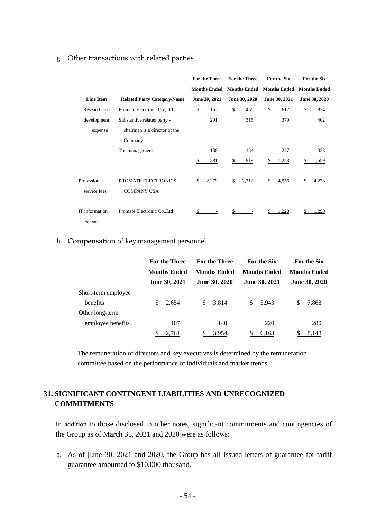### g. Other transactions with related parties

|                              |                                           |    | For the Three       | <b>For the Three</b> | For the Six         | For the Six         |
|------------------------------|-------------------------------------------|----|---------------------|----------------------|---------------------|---------------------|
|                              |                                           |    | <b>Months Ended</b> | <b>Months Ended</b>  | <b>Months Ended</b> | <b>Months Ended</b> |
| <b>Line Item</b>             | <b>Related Party Category/Name</b>        |    | June 30, 2021       | June 30, 2020        | June 30, 2021       | June 30, 2020       |
| Research and                 | Promate Electronic Co., Ltd               | \$ | 152                 | \$<br>450            | \$<br>617           | \$<br>824           |
| development                  | Substantive related party -               |    | 291                 | 315                  | 379                 | 402                 |
| expense                      | chairman is a director of the             |    |                     |                      |                     |                     |
|                              | Company                                   |    |                     |                      |                     |                     |
|                              | The management                            |    | 138                 | 154                  | 227                 | 333                 |
|                              |                                           |    | 581                 | 919                  | 1,223               | 1,559               |
| Professional<br>service fees | PROMATE ELECTRONICS<br><b>COMPANY USA</b> | S. | 2,279               | \$<br>2,312          | \$<br>4,556         | 4,273               |
| IT information<br>expense    | Promate Electronic Co., Ltd               |    |                     | \$                   | 1,220               | .290                |

#### h. Compensation of key management personnel

|                     | <b>For the Three</b> | <b>For the Three</b> | For the Six          | For the Six          |  |
|---------------------|----------------------|----------------------|----------------------|----------------------|--|
|                     | <b>Months Ended</b>  | <b>Months Ended</b>  | <b>Months Ended</b>  | <b>Months Ended</b>  |  |
|                     | June 30, 2021        | <b>June 30, 2020</b> | <b>June 30, 2021</b> | <b>June 30, 2020</b> |  |
| Short-term employee |                      |                      |                      |                      |  |
| benefits            | 2,654<br>S           | \$<br>3,814          | S<br>5.943           | 7,868<br>\$          |  |
| Other long-term     |                      |                      |                      |                      |  |
| employee benefits   | 107                  | 140                  | 220                  | 280                  |  |
|                     | 2.761                | 3.954                | 6,163                | 8,148                |  |

The remuneration of directors and key executives is determined by the remuneration committee based on the performance of individuals and market trends.

# **31. SIGNIFICANT CONTINGENT LIABILITIES AND UNRECOGNIZED COMMITMENTS**

In addition to those disclosed in other notes, significant commitments and contingencies of the Group as of March 31, 2021 and 2020 were as follows:

a. As of June 30, 2021 and 2020, the Group has all issued letters of guarantee for tariff guarantee amounted to \$10,000 thousand.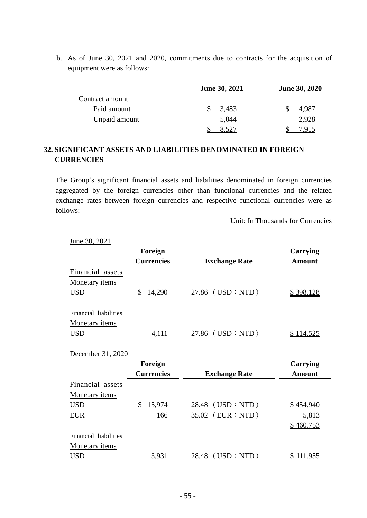b. As of June 30, 2021 and 2020, commitments due to contracts for the acquisition of equipment were as follows:

|                 | <b>June 30, 2021</b> | <b>June 30, 2020</b> |  |  |
|-----------------|----------------------|----------------------|--|--|
| Contract amount |                      |                      |  |  |
| Paid amount     | 3,483                | 4,987                |  |  |
| Unpaid amount   | 5,044                | 2.928                |  |  |
|                 |                      |                      |  |  |

# **32. SIGNIFICANT ASSETS AND LIABILITIES DENOMINATED IN FOREIGN CURRENCIES**

The Group's significant financial assets and liabilities denominated in foreign currencies aggregated by the foreign currencies other than functional currencies and the related exchange rates between foreign currencies and respective functional currencies were as follows:

Unit: In Thousands for Currencies

|                       | Foreign           |                      | Carrying         |
|-----------------------|-------------------|----------------------|------------------|
|                       | <b>Currencies</b> | <b>Exchange Rate</b> | <b>Amount</b>    |
| Financial assets      |                   |                      |                  |
| Monetary <i>items</i> |                   |                      |                  |
| <b>USD</b>            | \$<br>14,290      | 27.86 (USD : NTD)    | \$398,128        |
| Financial liabilities |                   |                      |                  |
| <b>Monetary items</b> |                   |                      |                  |
| <b>USD</b>            | 4,111             | 27.86 (USD : NTD)    | <u>\$114,525</u> |
| December 31, 2020     |                   |                      |                  |
|                       | Foreign           |                      | Carrying         |
|                       | <b>Currencies</b> | <b>Exchange Rate</b> | <b>Amount</b>    |
| Financial assets      |                   |                      |                  |
| <b>Monetary items</b> |                   |                      |                  |
| <b>USD</b>            | \$<br>15,974      | 28.48 (USD : NTD)    | \$454,940        |
| <b>EUR</b>            | 166               | 35.02 (EUR : NTD)    | 5,813            |
|                       |                   |                      | \$460,753        |
| Financial liabilities |                   |                      |                  |
| <b>Monetary items</b> |                   |                      |                  |
| <b>USD</b>            | 3,931             | 28.48 (USD : NTD)    | <u>\$111,955</u> |

June 30, 2021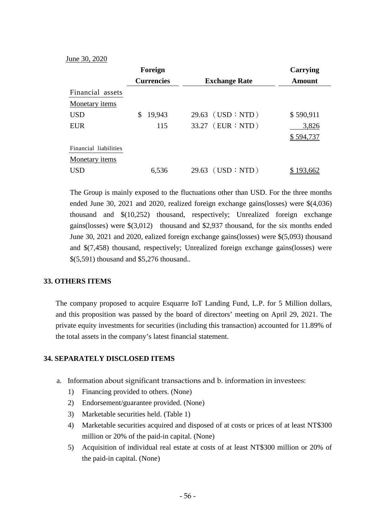June 30, 2020

|                       | Foreign           |                      | Carrying  |
|-----------------------|-------------------|----------------------|-----------|
|                       | <b>Currencies</b> | <b>Exchange Rate</b> | Amount    |
| Financial assets      |                   |                      |           |
| Monetary <i>items</i> |                   |                      |           |
| <b>USD</b>            | 19,943<br>\$      | $29.63$ (USD : NTD)  | \$590,911 |
| <b>EUR</b>            | 115               | 33.27 (EUR : NTD)    | 3,826     |
|                       |                   |                      | \$594,737 |
| Financial liabilities |                   |                      |           |
| Monetary <i>items</i> |                   |                      |           |
| <b>USD</b>            | 6,536             | $29.63$ (USD : NTD)  | 193,662   |

The Group is mainly exposed to the fluctuations other than USD. For the three months ended June 30, 2021 and 2020, realized foreign exchange gains(losses) were \$(4,036) thousand and \$(10,252) thousand, respectively; Unrealized foreign exchange gains(losses) were \$(3,012) thousand and \$2,937 thousand, for the six months ended June 30, 2021 and 2020, ealized foreign exchange gains(losses) were \$(5,093) thousand and \$(7,458) thousand, respectively; Unrealized foreign exchange gains(losses) were \$(5,591) thousand and \$5,276 thousand..

# **33. OTHERS ITEMS**

The company proposed to acquire Esquarre IoT Landing Fund, L.P. for 5 Million dollars, and this proposition was passed by the board of directors' meeting on April 29, 2021. The private equity investments for securities (including this transaction) accounted for 11.89% of the total assets in the company's latest financial statement.

#### **34. SEPARATELY DISCLOSED ITEMS**

- a. Information about significant transactions and b. information in investees:
	- 1) Financing provided to others. (None)
	- 2) Endorsement/guarantee provided. (None)
	- 3) Marketable securities held. (Table 1)
	- 4) Marketable securities acquired and disposed of at costs or prices of at least NT\$300 million or 20% of the paid-in capital. (None)
	- 5) Acquisition of individual real estate at costs of at least NT\$300 million or 20% of the paid-in capital. (None)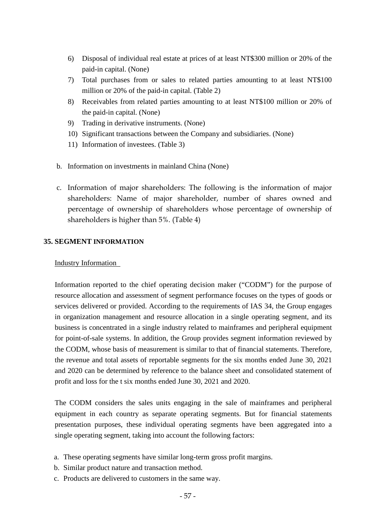- 6) Disposal of individual real estate at prices of at least NT\$300 million or 20% of the paid-in capital. (None)
- 7) Total purchases from or sales to related parties amounting to at least NT\$100 million or 20% of the paid-in capital. (Table 2)
- 8) Receivables from related parties amounting to at least NT\$100 million or 20% of the paid-in capital. (None)
- 9) Trading in derivative instruments. (None)
- 10) Significant transactions between the Company and subsidiaries. (None)
- 11) Information of investees. (Table 3)
- b. Information on investments in mainland China (None)
- c. Information of major shareholders: The following is the information of major shareholders: Name of major shareholder, number of shares owned and percentage of ownership of shareholders whose percentage of ownership of shareholders is higher than 5%. (Table 4)

# **35. SEGMENT INFORMATION**

# Industry Information

Information reported to the chief operating decision maker ("CODM") for the purpose of resource allocation and assessment of segment performance focuses on the types of goods or services delivered or provided. According to the requirements of IAS 34, the Group engages in organization management and resource allocation in a single operating segment, and its business is concentrated in a single industry related to mainframes and peripheral equipment for point-of-sale systems. In addition, the Group provides segment information reviewed by the CODM, whose basis of measurement is similar to that of financial statements. Therefore, the revenue and total assets of reportable segments for the six months ended June 30, 2021 and 2020 can be determined by reference to the balance sheet and consolidated statement of profit and loss for the t six months ended June 30, 2021 and 2020.

The CODM considers the sales units engaging in the sale of mainframes and peripheral equipment in each country as separate operating segments. But for financial statements presentation purposes, these individual operating segments have been aggregated into a single operating segment, taking into account the following factors:

- a. These operating segments have similar long-term gross profit margins.
- b. Similar product nature and transaction method.
- c. Products are delivered to customers in the same way.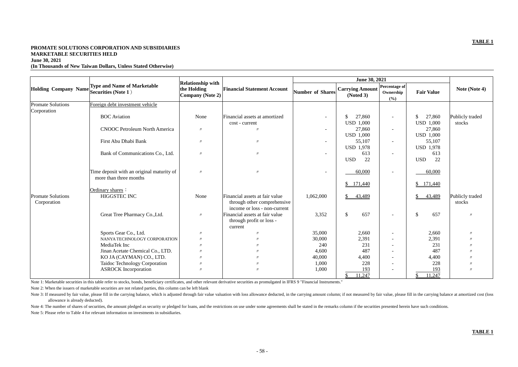# **TABLE 1**

**Holding Company Name Type and Name of Marketable Securities (Note 1**) **Relationship with the Holding Company (Note 2) Financial Statement Account June 30, 2021 Number of Shares Carrying Amount (Noted 3) Percent Owne (%)** Promate Solutions Corporation Foreign debt investment vehicle BOC Aviation None Financial assets at amortized cost - current  $$ 27,860$ USD 1,000 CNOOC Petroleum North America | <sub>*w*</sub> | *w* | *n* | 27,860 USD 1,000 First Abu Dhabi Bank 〃 〃 - 55,107 USD 1,978 Bank of Communications Co., Ltd. 〃 〃 - 613 USD 22 Time deposit with an original maturity of more than three months  $\frac{1}{10}$   $\frac{1}{10}$   $\frac{1}{10}$   $\frac{1}{10}$   $\frac{1}{10}$   $\frac{1}{10}$   $\frac{1}{10}$   $\frac{1}{10}$   $\frac{60,000}{10}$   $\frac{1}{10}$   $\frac{60,000}{10}$  $$171,440$ Ordinary shares: Promate Solutions Corporation HIGGSTEC INC None Financial assets at fair value through other comprehensive income or loss - non-current  $1,062,000$   $\qquad$  \$ 43,489 Great Tree Pharmacy Co.,Ltd. 〃 Financial assets at fair value through profit or loss current Sports Gear Co., Ltd. 〃 〃 35,000 2,660 - 2,660 〃 NANYA TECHNOLOGY CORPORATION 〃 〃 30,000 2,391 - 2,391 〃 MediaTek Inc 〃 〃 240 231 - 231 〃 Jinan Acetate Chemical Co., LTD. 〃 〃 4,600 487 - 487 〃 KO JA (CAYMAN) CO., LTD. 〃 〃 40,000 4,400 - 4,400 〃 Taidoc Technology Corporation 〃 〃 1,000 228 - 228 〃 ASROCK Incorporation 〃 〃 1,000 193 - 193 〃 11,247

Note 1: Marketable securities in this table refer to stocks, bonds, beneficiary certificates, and other relevant derivative securities as promulgated in IFRS 9 "Financial Instruments."

# **PROMATE SOLUTIONS CORPORATION AND SUBSIDIARIES MARKETABLE SECURITIES HELD June 30, 2021 (In Thousands of New Taiwan Dollars, Unless Stated Otherwise)**

|                                                  | June 30, 2021                     |                                             |                                   |                               |  |  |
|--------------------------------------------------|-----------------------------------|---------------------------------------------|-----------------------------------|-------------------------------|--|--|
| <b>Carrying Amount</b><br>of Shares<br>(Noted 3) |                                   | <b>Percentage of</b><br>Ownership<br>$(\%)$ | <b>Fair Value</b>                 | Note (Note 4)                 |  |  |
|                                                  |                                   |                                             |                                   |                               |  |  |
|                                                  | \$<br>27,860                      |                                             | \$<br>27,860                      | Publicly traded               |  |  |
|                                                  | <b>USD 1,000</b>                  |                                             | <b>USD 1,000</b>                  | stocks                        |  |  |
|                                                  | 27,860<br><b>USD 1,000</b>        |                                             | 27,860<br><b>USD 1,000</b>        |                               |  |  |
|                                                  | 55,107                            |                                             | 55,107                            |                               |  |  |
|                                                  | <b>USD 1,978</b>                  |                                             | <b>USD 1,978</b>                  |                               |  |  |
|                                                  | 613                               |                                             | 613                               |                               |  |  |
|                                                  | 22<br><b>USD</b>                  |                                             | 22<br><b>USD</b>                  |                               |  |  |
|                                                  | 60,000                            |                                             | 60,000                            |                               |  |  |
|                                                  | 171,440<br>\$                     |                                             | 171,440<br>\$                     |                               |  |  |
| 2,000                                            | \$<br>43,489                      |                                             | \$<br>43,489                      | Publicly traded<br>stocks     |  |  |
| 3,352                                            | \$<br>657                         |                                             | \$<br>657                         | $\ensuremath{\mathnormal{H}}$ |  |  |
| 5,000                                            | 2,660                             |                                             | 2,660                             | $\prime\prime$                |  |  |
| 0,000                                            | 2,391                             |                                             | 2,391                             | $^{\prime\prime}$             |  |  |
| 240                                              | 231                               |                                             | 231                               | $^{\prime\prime}$             |  |  |
| 4,600                                            | 487                               |                                             | 487                               | $^{\prime\prime}$             |  |  |
| 0,000                                            | 4,400                             |                                             | 4,400                             | $^{\prime\prime}$             |  |  |
| 1,000                                            | 228                               |                                             | 228                               | $^{\prime\prime}$             |  |  |
| 1,000                                            | 193                               |                                             | 193                               | $\prime\prime$                |  |  |
|                                                  | $\overline{\mathbb{S}}$<br>11,247 |                                             | $\overline{\mathbb{S}}$<br>11,247 |                               |  |  |

Note 4: The number of shares of securities, the amount pledged as security or pledged for loans, and the restrictions on use under some agreements shall be stated in the remarks column if the securities presented herein ha Note 5: Please refer to Table 4 for relevant information on investments in subsidiaries.

Note 2: When the issuers of marketable securities are not related parties, this column can be left blank

# **TABLE 1**

Note 3: If measured by fair value, please fill in the carrying balance, which is adjusted through fair value valuation with loss allowance deducted, in the carrying amount column; if not measured by fair value, please fill allowance is already deducted).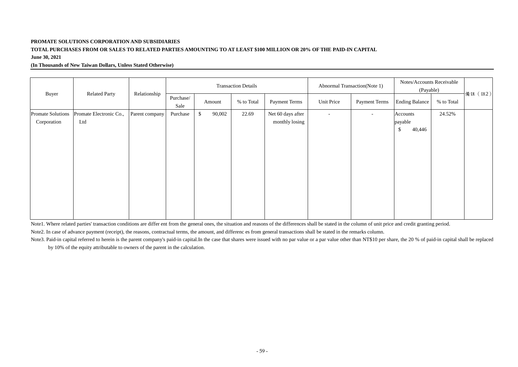# **PROMATE SOLUTIONS CORPORATION AND SUBSIDIARIES**

# **TOTAL PURCHASES FROM OR SALES TO RELATED PARTIES AMOUNTING TO AT LEAST \$100 MILLION OR 20% OF THE PAID-IN CAPITAL June 30, 2021**

# **(In Thousands of New Taiwan Dollars, Unless Stated Otherwise)**

|                                         |                                |                   |          | <b>Transaction Details</b>  |                      |                                     | <b>Abnormal Transaction</b> (Note 1) |                       | Notes/Accounts Receivable<br>(Payable)         |         |  |
|-----------------------------------------|--------------------------------|-------------------|----------|-----------------------------|----------------------|-------------------------------------|--------------------------------------|-----------------------|------------------------------------------------|---------|--|
| Buyer<br><b>Related Party</b>           | Relationship                   | Purchase/<br>Sale | Amount   | % to Total                  | <b>Payment Terms</b> | Unit Price                          | <b>Payment Terms</b>                 | <b>Ending Balance</b> | % to Total                                     | 備註 (註2) |  |
| <b>Promate Solutions</b><br>Corporation | Promate Electronic Co.,<br>Ltd | Parent company    | Purchase | $\boldsymbol{\$}$<br>90,002 | 22.69                | Net 60 days after<br>monthly losing | $\sim$                               | $\sim$                | Accounts<br>payable<br>$\mathcal{S}$<br>40,446 | 24.52%  |  |

Note1. Where related parties' transaction conditions are differ ent from the general ones, the situation and reasons of the differences shall be stated in the column of unit price and credit granting period. Note2. In case of advance payment (receipt), the reasons, contractual terms, the amount, and differenc es from general transactions shall be stated in the remarks column. Note3. Paid-in capital referred to herein is the parent company's paid-in capital.In the case that shares were issued with no par value or a par value other than NT\$10 per share, the 20 % of paid-in capital shall be replac by 10% of the equity attributable to owners of the parent in the calculation.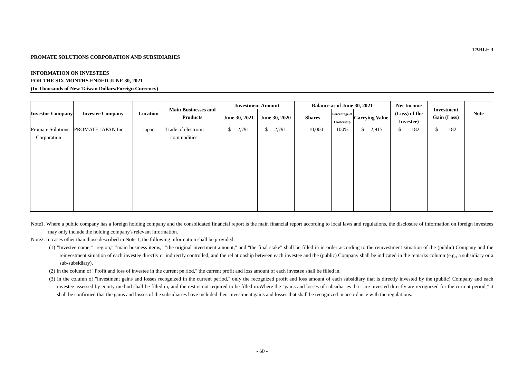# **TABLE 3**

# **PROMATE SOLUTIONS CORPORATION AND SUBSIDIARIES**

# **INFORMATION ON INVESTEES**

## **FOR THE SIX MONTHS ENDED JUNE 30, 2021**

### **(In Thousands of New Taiwan Dollars/Foreign Currency)**

| <b>Investor Company</b>                 | <b>Investee Company</b> | Location | <b>Main Businesses and</b><br><b>Products</b> | <b>Investment Amount</b> |                      | <b>Balance as of June 30, 2021</b> |                                                     | <b>Net Income</b>          |                                  |             |
|-----------------------------------------|-------------------------|----------|-----------------------------------------------|--------------------------|----------------------|------------------------------------|-----------------------------------------------------|----------------------------|----------------------------------|-------------|
|                                         |                         |          |                                               | June 30, 2021            | <b>June 30, 2020</b> | <b>Shares</b>                      | <b>Percentage of</b><br>Carrying Value<br>Ownership | (Loss) of the<br>Investee) | Investment<br><b>Gain (Loss)</b> | <b>Note</b> |
| <b>Promate Solutions</b><br>Corporation | PROMATE JAPAN Inc       | Japan    | Trade of electronic<br>commodities            | 2,791<br>\$              | 2,791<br>\$          | 10,000                             | 100%<br>2,915<br>$\mathsf{S}$                       | 182<br>\$                  | 182<br>$\mathcal{S}$             |             |

- Note1. Where a public company has a foreign holding company and the consolidated financial report is the main financial report according to local laws and regulations, the disclosure of information on foreign investees may only include the holding company's relevant information.
- Note2. In cases other than those described in Note 1, the following information shall be provided:
	- (1) "Investee name," "region," "main business items," "the original investment amount," and "the final stake" shall be filled in in order according to the reinvestment situation of the (public) Company and the reinvestment situation of each investee directly or indirectly controlled, and the rel ationship between each investee and the (public) Company shall be indicated in the remarks column (e.g., a subsidiary or a sub-subsidiary).
	- (2) In the column of "Profit and loss of investee in the current pe riod," the current profit and loss amount of each investee shall be filled in.
	- (3) In the column of "investment gains and losses recognized in the current period," only the recognized profit and loss amount of each subsidiary that is directly invested by the (public) Company and each investee assessed by equity method shall be filled in, and the rest is not required to be filled in.Where the "gains and losses of subsidiaries tha t are invested directly are recognized for the current period," it shall be confirmed that the gains and losses of the subsidiaries have included their investment gains and losses that shall be recognized in accordance with the regulations.